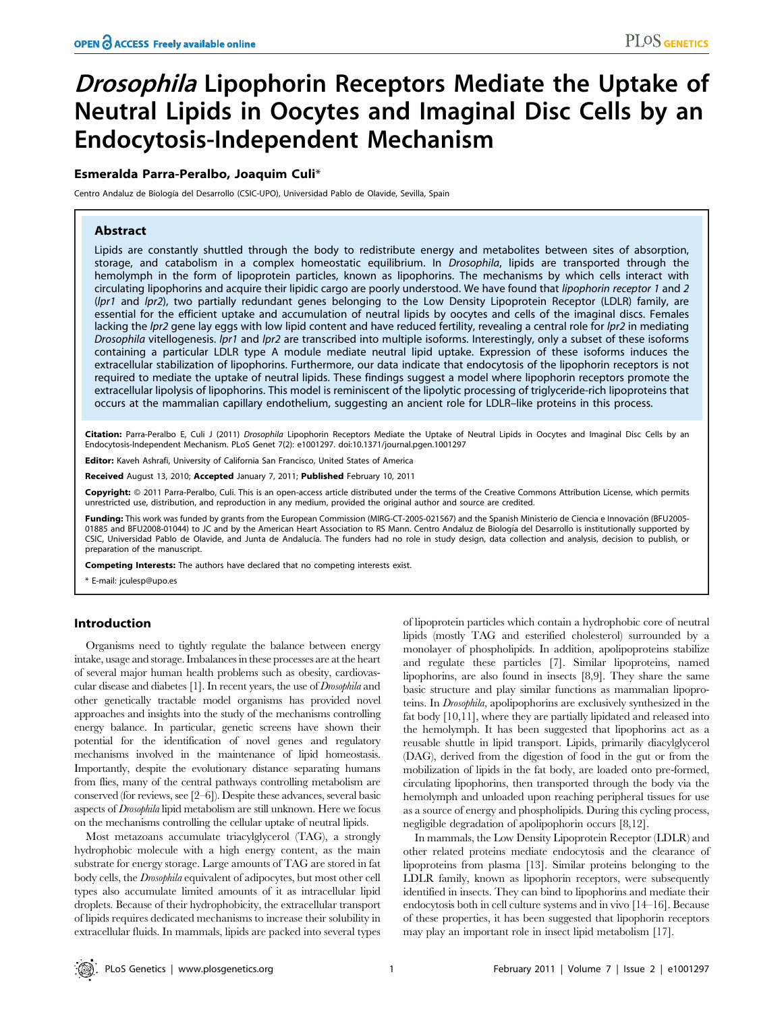# **Drosophila Lipophorin Receptors Mediate the Uptake of** Neutral Lipids in Oocytes and Imaginal Disc Cells by an Endocytosis-Independent Mechanism

## Esmeralda Parra-Peralbo, Joaquim Culi\*

Centro Andaluz de Biología del Desarrollo (CSIC-UPO), Universidad Pablo de Olavide, Sevilla, Spain

## Abstract

Lipids are constantly shuttled through the body to redistribute energy and metabolites between sites of absorption, storage, and catabolism in a complex homeostatic equilibrium. In *Drosophila*, lipids are transported through the hemolymph in the form of lipoprotein particles, known as lipophorins. The mechanisms by which cells interact with circulating lipophorins and acquire their lipidic cargo are poorly understood. We have found that lipophorin receptor 1 and 2 (Ipr1 and Ipr2), two partially redundant genes belonging to the Low Density Lipoprotein Receptor (LDLR) family, are essential for the efficient uptake and accumulation of neutral lipids by oocytes and cells of the imaginal discs. Females lacking the lpr2 gene lay eggs with low lipid content and have reduced fertility, revealing a central role for lpr2 in mediating Drosophila vitellogenesis. Ipr1 and Ipr2 are transcribed into multiple isoforms. Interestingly, only a subset of these isoforms containing a particular LDLR type A module mediate neutral lipid uptake. Expression of these isoforms induces the extracellular stabilization of lipophorins. Furthermore, our data indicate that endocytosis of the lipophorin receptors is not required to mediate the uptake of neutral lipids. These findings suggest a model where lipophorin receptors promote the extracellular lipolysis of lipophorins. This model is reminiscent of the lipolytic processing of triglyceride-rich lipoproteins that occurs at the mammalian capillary endothelium, suggesting an ancient role for LDLR–like proteins in this process.

Citation: Parra-Peralbo E, Culi J (2011) Drosophila Lipophorin Receptors Mediate the Uptake of Neutral Lipids in Oocytes and Imaginal Disc Cells by an Endocytosis-Independent Mechanism. PLoS Genet 7(2): e1001297. doi:10.1371/journal.pgen.1001297

Editor: Kaveh Ashrafi, University of California San Francisco, United States of America

Received August 13, 2010; Accepted January 7, 2011; Published February 10, 2011

Copyright: @ 2011 Parra-Peralbo, Culi. This is an open-access article distributed under the terms of the Creative Commons Attribution License, which permits unrestricted use, distribution, and reproduction in any medium, provided the original author and source are credited.

Funding: This work was funded by grants from the European Commission (MIRG-CT-2005-021567) and the Spanish Ministerio de Ciencia e Innovación (BFU2005-01885 and BFU2008-01044) to JC and by the American Heart Association to RS Mann. Centro Andaluz de Biología del Desarrollo is institutionally supported by CSIC, Universidad Pablo de Olavide, and Junta de Andalucía. The funders had no role in study design, data collection and analysis, decision to publish, or preparation of the manuscript.

Competing Interests: The authors have declared that no competing interests exist.

\* E-mail: jculesp@upo.es

## Introduction

Organisms need to tightly regulate the balance between energy intake, usage and storage. Imbalances in these processes are at the heart of several major human health problems such as obesity, cardiovascular disease and diabetes  $[1]$ . In recent years, the use of *Drosophila* and other genetically tractable model organisms has provided novel approaches and insights into the study of the mechanisms controlling energy balance. In particular, genetic screens have shown their potential for the identification of novel genes and regulatory mechanisms involved in the maintenance of lipid homeostasis. Importantly, despite the evolutionary distance separating humans from flies, many of the central pathways controlling metabolism are conserved (for reviews, see [2–6]). Despite these advances, several basic aspects of Drosophila lipid metabolism are still unknown. Here we focus on the mechanisms controlling the cellular uptake of neutral lipids.

Most metazoans accumulate triacylglycerol (TAG), a strongly hydrophobic molecule with a high energy content, as the main substrate for energy storage. Large amounts of TAG are stored in fat body cells, the Drosophila equivalent of adipocytes, but most other cell types also accumulate limited amounts of it as intracellular lipid droplets. Because of their hydrophobicity, the extracellular transport of lipids requires dedicated mechanisms to increase their solubility in extracellular fluids. In mammals, lipids are packed into several types

of lipoprotein particles which contain a hydrophobic core of neutral lipids (mostly TAG and esterified cholesterol) surrounded by a monolayer of phospholipids. In addition, apolipoproteins stabilize and regulate these particles [7]. Similar lipoproteins, named lipophorins, are also found in insects [8,9]. They share the same basic structure and play similar functions as mammalian lipoproteins. In Drosophila, apolipophorins are exclusively synthesized in the fat body [10,11], where they are partially lipidated and released into the hemolymph. It has been suggested that lipophorins act as a reusable shuttle in lipid transport. Lipids, primarily diacylglycerol (DAG), derived from the digestion of food in the gut or from the mobilization of lipids in the fat body, are loaded onto pre-formed, circulating lipophorins, then transported through the body via the hemolymph and unloaded upon reaching peripheral tissues for use as a source of energy and phospholipids. During this cycling process, negligible degradation of apolipophorin occurs [8,12].

In mammals, the Low Density Lipoprotein Receptor (LDLR) and other related proteins mediate endocytosis and the clearance of lipoproteins from plasma [13]. Similar proteins belonging to the LDLR family, known as lipophorin receptors, were subsequently identified in insects. They can bind to lipophorins and mediate their endocytosis both in cell culture systems and in vivo [14–16]. Because of these properties, it has been suggested that lipophorin receptors may play an important role in insect lipid metabolism [17].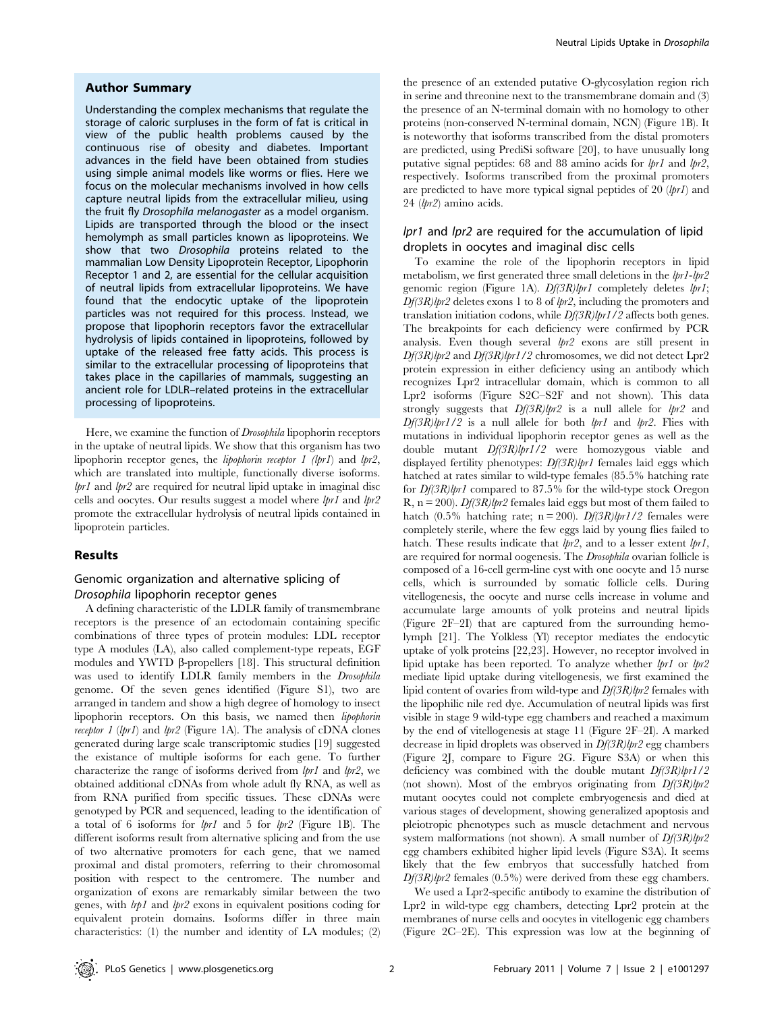#### Author Summary

Understanding the complex mechanisms that regulate the storage of caloric surpluses in the form of fat is critical in view of the public health problems caused by the continuous rise of obesity and diabetes. Important advances in the field have been obtained from studies using simple animal models like worms or flies. Here we focus on the molecular mechanisms involved in how cells capture neutral lipids from the extracellular milieu, using the fruit fly Drosophila melanogaster as a model organism. Lipids are transported through the blood or the insect hemolymph as small particles known as lipoproteins. We show that two Drosophila proteins related to the mammalian Low Density Lipoprotein Receptor, Lipophorin Receptor 1 and 2, are essential for the cellular acquisition of neutral lipids from extracellular lipoproteins. We have found that the endocytic uptake of the lipoprotein particles was not required for this process. Instead, we propose that lipophorin receptors favor the extracellular hydrolysis of lipids contained in lipoproteins, followed by uptake of the released free fatty acids. This process is similar to the extracellular processing of lipoproteins that takes place in the capillaries of mammals, suggesting an ancient role for LDLR–related proteins in the extracellular processing of lipoproteins.

Here, we examine the function of Drosophila lipophorin receptors in the uptake of neutral lipids. We show that this organism has two lipophorin receptor genes, the lipophorin receptor 1 (lpr1) and lpr2, which are translated into multiple, functionally diverse isoforms.  $lpr1$  and  $lpr2$  are required for neutral lipid uptake in imaginal disc cells and oocytes. Our results suggest a model where  $lpr1$  and  $lpr2$ promote the extracellular hydrolysis of neutral lipids contained in lipoprotein particles.

## Results

# Genomic organization and alternative splicing of Drosophila lipophorin receptor genes

A defining characteristic of the LDLR family of transmembrane receptors is the presence of an ectodomain containing specific combinations of three types of protein modules: LDL receptor type A modules (LA), also called complement-type repeats, EGF modules and YWTD  $\beta$ -propellers [18]. This structural definition was used to identify LDLR family members in the Drosophila genome. Of the seven genes identified (Figure S1), two are arranged in tandem and show a high degree of homology to insect lipophorin receptors. On this basis, we named then lipophorin receptor 1 (lpr1) and lpr2 (Figure 1A). The analysis of cDNA clones generated during large scale transcriptomic studies [19] suggested the existance of multiple isoforms for each gene. To further characterize the range of isoforms derived from lpr1 and lpr2, we obtained additional cDNAs from whole adult fly RNA, as well as from RNA purified from specific tissues. These cDNAs were genotyped by PCR and sequenced, leading to the identification of a total of 6 isoforms for  $lpr1$  and 5 for  $lpr2$  (Figure 1B). The different isoforms result from alternative splicing and from the use of two alternative promoters for each gene, that we named proximal and distal promoters, referring to their chromosomal position with respect to the centromere. The number and organization of exons are remarkably similar between the two genes, with lrp1 and lpr2 exons in equivalent positions coding for equivalent protein domains. Isoforms differ in three main characteristics: (1) the number and identity of LA modules; (2)

the presence of an extended putative O-glycosylation region rich in serine and threonine next to the transmembrane domain and (3) the presence of an N-terminal domain with no homology to other proteins (non-conserved N-terminal domain, NCN) (Figure 1B). It is noteworthy that isoforms transcribed from the distal promoters are predicted, using PrediSi software [20], to have unusually long putative signal peptides: 68 and 88 amino acids for  $lpr1$  and  $lpr2$ , respectively. Isoforms transcribed from the proximal promoters are predicted to have more typical signal peptides of 20  $(lpr1)$  and 24 (lpr2) amino acids.

## lpr1 and lpr2 are required for the accumulation of lipid droplets in oocytes and imaginal disc cells

To examine the role of the lipophorin receptors in lipid metabolism, we first generated three small deletions in the *lpr1-lpr2* genomic region (Figure 1A).  $Df(3R)lpr1$  completely deletes  $lpr1$ ;  $Df(3R)$ lpr2 deletes exons 1 to 8 of lpr2, including the promoters and translation initiation codons, while  $Df(3R)lpr1/2$  affects both genes. The breakpoints for each deficiency were confirmed by PCR analysis. Even though several  $lpr2$  exons are still present in Df(3R)lpr2 and Df(3R)lpr1/2 chromosomes, we did not detect Lpr2 protein expression in either deficiency using an antibody which recognizes Lpr2 intracellular domain, which is common to all Lpr2 isoforms (Figure S2C–S2F and not shown). This data strongly suggests that  $Df(3R)lpr2$  is a null allele for  $lpr2$  and  $Df(3R)$ lpr1/2 is a null allele for both lpr1 and lpr2. Flies with mutations in individual lipophorin receptor genes as well as the double mutant Df(3R)lpr1/2 were homozygous viable and displayed fertility phenotypes:  $Df(3R)$ lpr1 females laid eggs which hatched at rates similar to wild-type females (85.5% hatching rate for Df(3R)lpr1 compared to 87.5% for the wild-type stock Oregon R,  $n = 200$ ). Df(3R)lpr2 females laid eggs but most of them failed to hatch (0.5% hatching rate; n = 200). Df(3R)lpr1/2 females were completely sterile, where the few eggs laid by young flies failed to hatch. These results indicate that  $lpr2$ , and to a lesser extent  $lpr1$ , are required for normal oogenesis. The Drosophila ovarian follicle is composed of a 16-cell germ-line cyst with one oocyte and 15 nurse cells, which is surrounded by somatic follicle cells. During vitellogenesis, the oocyte and nurse cells increase in volume and accumulate large amounts of yolk proteins and neutral lipids (Figure 2F–2I) that are captured from the surrounding hemolymph [21]. The Yolkless (Yl) receptor mediates the endocytic uptake of yolk proteins [22,23]. However, no receptor involved in lipid uptake has been reported. To analyze whether  $lpr1$  or  $lpr2$ mediate lipid uptake during vitellogenesis, we first examined the lipid content of ovaries from wild-type and  $Df(3R)$ lpr2 females with the lipophilic nile red dye. Accumulation of neutral lipids was first visible in stage 9 wild-type egg chambers and reached a maximum by the end of vitellogenesis at stage 11 (Figure 2F–2I). A marked decrease in lipid droplets was observed in  $Df(3R)lpr2$  egg chambers (Figure 2J, compare to Figure 2G. Figure S3A) or when this deficiency was combined with the double mutant  $Df(3R)lpr1/2$ (not shown). Most of the embryos originating from  $Df(3R)lpr2$ mutant oocytes could not complete embryogenesis and died at various stages of development, showing generalized apoptosis and pleiotropic phenotypes such as muscle detachment and nervous system malformations (not shown). A small number of  $Df(3R)lpr2$ egg chambers exhibited higher lipid levels (Figure S3A). It seems likely that the few embryos that successfully hatched from  $Df(3R)$ lpr2 females (0.5%) were derived from these egg chambers.

We used a Lpr2-specific antibody to examine the distribution of Lpr2 in wild-type egg chambers, detecting Lpr2 protein at the membranes of nurse cells and oocytes in vitellogenic egg chambers (Figure 2C–2E). This expression was low at the beginning of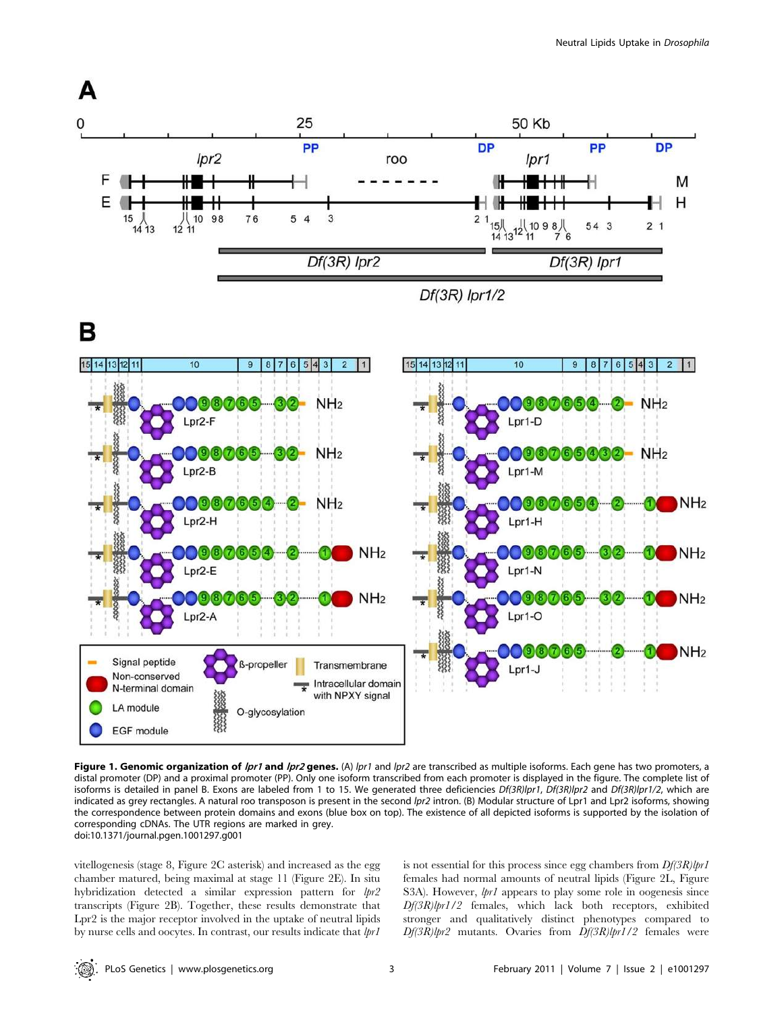





Figure 1. Genomic organization of lpr1 and lpr2 genes. (A) lpr1 and lpr2 are transcribed as multiple isoforms. Each gene has two promoters, a distal promoter (DP) and a proximal promoter (PP). Only one isoform transcribed from each promoter is displayed in the figure. The complete list of isoforms is detailed in panel B. Exons are labeled from 1 to 15. We generated three deficiencies Df(3R)lpr1, Df(3R)lpr2 and Df(3R)lpr1/2, which are indicated as grey rectangles. A natural roo transposon is present in the second Ipr2 intron. (B) Modular structure of Lpr1 and Lpr2 isoforms, showing the correspondence between protein domains and exons (blue box on top). The existence of all depicted isoforms is supported by the isolation of corresponding cDNAs. The UTR regions are marked in grey. doi:10.1371/journal.pgen.1001297.g001

vitellogenesis (stage 8, Figure 2C asterisk) and increased as the egg chamber matured, being maximal at stage 11 (Figure 2E). In situ hybridization detected a similar expression pattern for  $lpr2$ transcripts (Figure 2B). Together, these results demonstrate that Lpr2 is the major receptor involved in the uptake of neutral lipids by nurse cells and oocytes. In contrast, our results indicate that  $lpr1$  is not essential for this process since egg chambers from  $Df(3R)lpr1$ females had normal amounts of neutral lipids (Figure 2L, Figure S3A). However,  $lpr1$  appears to play some role in oogenesis since Df(3R)lpr1/2 females, which lack both receptors, exhibited stronger and qualitatively distinct phenotypes compared to Df(3R)lpr2 mutants. Ovaries from Df(3R)lpr1/2 females were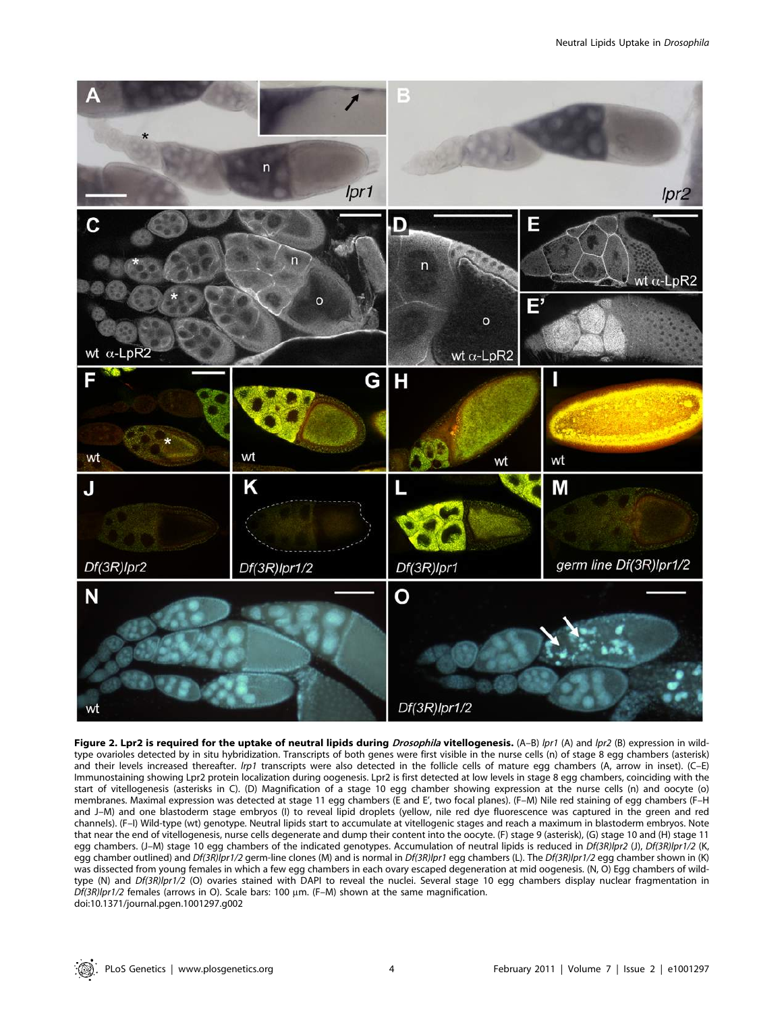

Figure 2. Lpr2 is required for the uptake of neutral lipids during *Drosophila* vitellogenesis.  $(A-B)$  /pr1  $(A)$  and /pr2  $(B)$  expression in wildtype ovarioles detected by in situ hybridization. Transcripts of both genes were first visible in the nurse cells (n) of stage 8 egg chambers (asterisk) and their levels increased thereafter. *lrp1* transcripts were also detected in the follicle cells of mature egg chambers (A, arrow in inset). (C–E) Immunostaining showing Lpr2 protein localization during oogenesis. Lpr2 is first detected at low levels in stage 8 egg chambers, coinciding with the start of vitellogenesis (asterisks in C). (D) Magnification of a stage 10 egg chamber showing expression at the nurse cells (n) and oocyte (o) membranes. Maximal expression was detected at stage 11 egg chambers (E and E', two focal planes). (F–M) Nile red staining of egg chambers (F–H and J–M) and one blastoderm stage embryos (I) to reveal lipid droplets (yellow, nile red dye fluorescence was captured in the green and red channels). (F–I) Wild-type (wt) genotype. Neutral lipids start to accumulate at vitellogenic stages and reach a maximum in blastoderm embryos. Note that near the end of vitellogenesis, nurse cells degenerate and dump their content into the oocyte. (F) stage 9 (asterisk), (G) stage 10 and (H) stage 11 egg chambers. (J-M) stage 10 egg chambers of the indicated genotypes. Accumulation of neutral lipids is reduced in Df(3R)lpr2 (J), Df(3R)lpr1/2 (K, egg chamber outlined) and Df(3R)lpr1/2 germ-line clones (M) and is normal in Df(3R)lpr1 egg chambers (L). The Df(3R)lpr1/2 egg chamber shown in (K) was dissected from young females in which a few egg chambers in each ovary escaped degeneration at mid oogenesis. (N, O) Egg chambers of wildtype (N) and Df(3R)lpr1/2 (O) ovaries stained with DAPI to reveal the nuclei. Several stage 10 egg chambers display nuclear fragmentation in  $Df(3R)$ lpr1/2 females (arrows in O). Scale bars: 100  $\mu$ m. (F-M) shown at the same magnification. doi:10.1371/journal.pgen.1001297.g002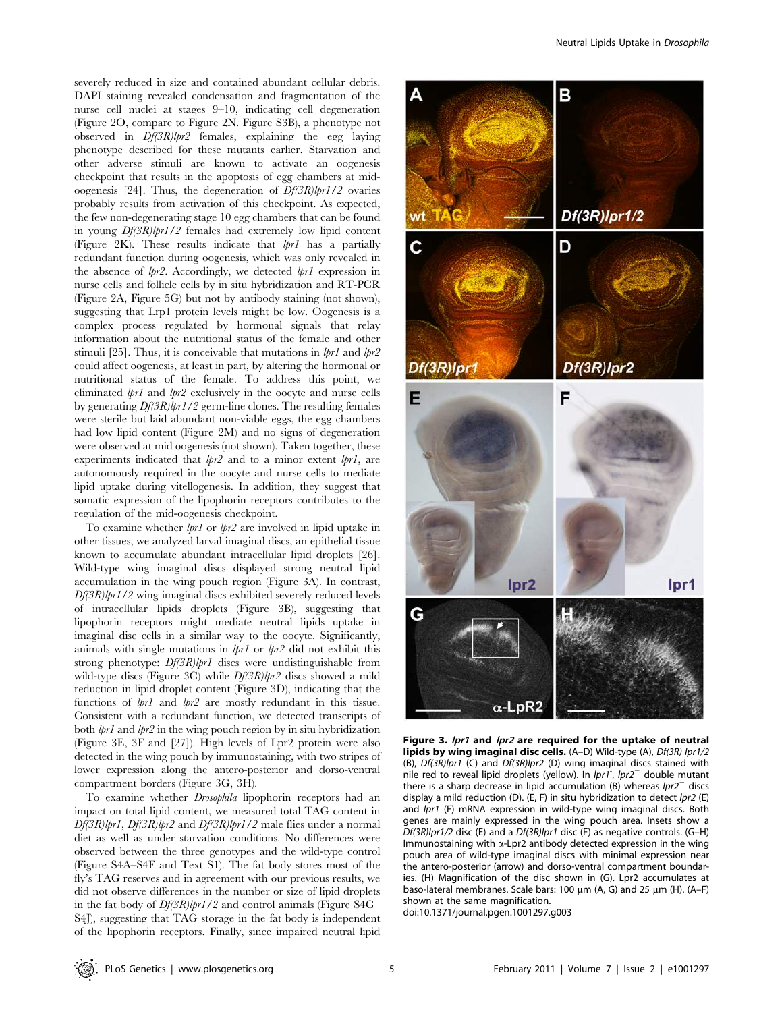severely reduced in size and contained abundant cellular debris. DAPI staining revealed condensation and fragmentation of the nurse cell nuclei at stages 9–10, indicating cell degeneration (Figure 2O, compare to Figure 2N. Figure S3B), a phenotype not observed in  $Df(3R)lpr2$  females, explaining the egg laying phenotype described for these mutants earlier. Starvation and other adverse stimuli are known to activate an oogenesis checkpoint that results in the apoptosis of egg chambers at midoogenesis [24]. Thus, the degeneration of  $Df(3R)lpr1/2$  ovaries probably results from activation of this checkpoint. As expected, the few non-degenerating stage 10 egg chambers that can be found in young Df(3R)lpr1/2 females had extremely low lipid content (Figure 2K). These results indicate that  $lpr1$  has a partially redundant function during oogenesis, which was only revealed in the absence of lpr2. Accordingly, we detected lpr1 expression in nurse cells and follicle cells by in situ hybridization and RT-PCR (Figure 2A, Figure 5G) but not by antibody staining (not shown), suggesting that Lrp1 protein levels might be low. Oogenesis is a complex process regulated by hormonal signals that relay information about the nutritional status of the female and other stimuli [25]. Thus, it is conceivable that mutations in  $lpr1$  and  $lpr2$ could affect oogenesis, at least in part, by altering the hormonal or nutritional status of the female. To address this point, we eliminated *lpr1* and *lpr2* exclusively in the oocyte and nurse cells by generating Df(3R)lpr1/2 germ-line clones. The resulting females were sterile but laid abundant non-viable eggs, the egg chambers had low lipid content (Figure 2M) and no signs of degeneration were observed at mid oogenesis (not shown). Taken together, these experiments indicated that  $lpr2$  and to a minor extent  $lpr1$ , are autonomously required in the oocyte and nurse cells to mediate lipid uptake during vitellogenesis. In addition, they suggest that somatic expression of the lipophorin receptors contributes to the regulation of the mid-oogenesis checkpoint.

To examine whether lpr1 or lpr2 are involved in lipid uptake in other tissues, we analyzed larval imaginal discs, an epithelial tissue known to accumulate abundant intracellular lipid droplets [26]. Wild-type wing imaginal discs displayed strong neutral lipid accumulation in the wing pouch region (Figure 3A). In contrast,  $Df(3R)$ lpr1/2 wing imaginal discs exhibited severely reduced levels of intracellular lipids droplets (Figure 3B), suggesting that lipophorin receptors might mediate neutral lipids uptake in imaginal disc cells in a similar way to the oocyte. Significantly, animals with single mutations in  $lpr1$  or  $lpr2$  did not exhibit this strong phenotype:  $Df(3R)lpr1$  discs were undistinguishable from wild-type discs (Figure 3C) while  $Df(3R)$ lpr2 discs showed a mild reduction in lipid droplet content (Figure 3D), indicating that the functions of lpr1 and lpr2 are mostly redundant in this tissue. Consistent with a redundant function, we detected transcripts of both  $lpr1$  and  $lpr2$  in the wing pouch region by in situ hybridization (Figure 3E, 3F and [27]). High levels of Lpr2 protein were also detected in the wing pouch by immunostaining, with two stripes of lower expression along the antero-posterior and dorso-ventral compartment borders (Figure 3G, 3H).

To examine whether Drosophila lipophorin receptors had an impact on total lipid content, we measured total TAG content in Df(3R)lpr1, Df(3R)lpr2 and Df(3R)lpr1/2 male flies under a normal diet as well as under starvation conditions. No differences were observed between the three genotypes and the wild-type control (Figure S4A–S4F and Text S1). The fat body stores most of the fly's TAG reserves and in agreement with our previous results, we did not observe differences in the number or size of lipid droplets in the fat body of  $Df(3R)lpr1/2$  and control animals (Figure S4G– S4J), suggesting that TAG storage in the fat body is independent of the lipophorin receptors. Finally, since impaired neutral lipid



Figure 3. lpr1 and lpr2 are required for the uptake of neutral lipids by wing imaginal disc cells. (A–D) Wild-type (A), Df(3R) lpr1/2 (B), Df(3R)lpr1 (C) and Df(3R)lpr2 (D) wing imaginal discs stained with nile red to reveal lipid droplets (yellow). In  $lpr1$ ,  $lpr2^-$  double mutant there is a sharp decrease in lipid accumulation (B) whereas  $lpr2^-$  discs display a mild reduction (D). (E, F) in situ hybridization to detect lpr2 (E) and *lpr1* (F) mRNA expression in wild-type wing imaginal discs. Both genes are mainly expressed in the wing pouch area. Insets show a Df(3R)lpr1/2 disc (E) and a Df(3R)lpr1 disc (F) as negative controls. (G–H) Immunostaining with  $\alpha$ -Lpr2 antibody detected expression in the wing pouch area of wild-type imaginal discs with minimal expression near the antero-posterior (arrow) and dorso-ventral compartment boundaries. (H) Magnification of the disc shown in (G). Lpr2 accumulates at baso-lateral membranes. Scale bars: 100  $\mu$ m (A, G) and 25  $\mu$ m (H). (A-F) shown at the same magnification.

doi:10.1371/journal.pgen.1001297.g003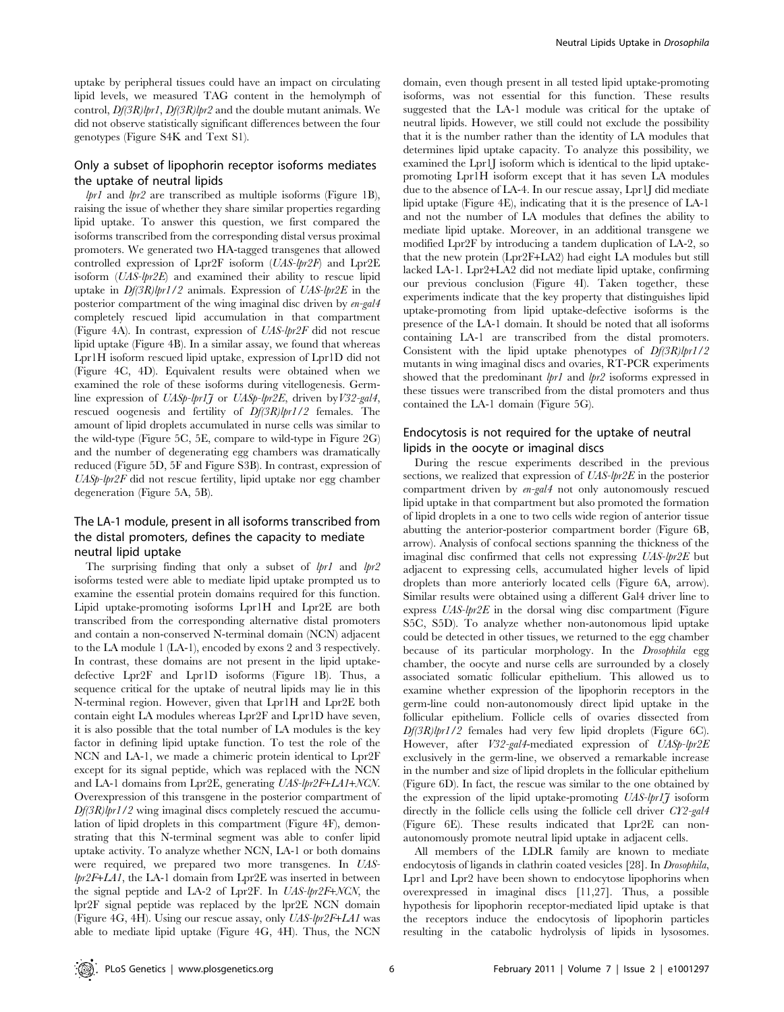uptake by peripheral tissues could have an impact on circulating lipid levels, we measured TAG content in the hemolymph of control,  $Df(3R)lpr1$ ,  $Df(3R)lpr2$  and the double mutant animals. We did not observe statistically significant differences between the four genotypes (Figure S4K and Text S1).

# Only a subset of lipophorin receptor isoforms mediates the uptake of neutral lipids

 $lpr1$  and  $lpr2$  are transcribed as multiple isoforms (Figure 1B), raising the issue of whether they share similar properties regarding lipid uptake. To answer this question, we first compared the isoforms transcribed from the corresponding distal versus proximal promoters. We generated two HA-tagged transgenes that allowed controlled expression of Lpr2F isoform (UAS-lpr2F) and Lpr2E isoform (UAS-lpr2E) and examined their ability to rescue lipid uptake in  $Df(3R)$ lpr1/2 animals. Expression of UAS-lpr2E in the posterior compartment of the wing imaginal disc driven by en-gal4 completely rescued lipid accumulation in that compartment (Figure 4A). In contrast, expression of UAS-lpr2F did not rescue lipid uptake (Figure 4B). In a similar assay, we found that whereas Lpr1H isoform rescued lipid uptake, expression of Lpr1D did not (Figure 4C, 4D). Equivalent results were obtained when we examined the role of these isoforms during vitellogenesis. Germline expression of UASp-lpr1J or UASp-lpr2E, driven by V32-gal4, rescued oogenesis and fertility of Df(3R)lpr1/2 females. The amount of lipid droplets accumulated in nurse cells was similar to the wild-type (Figure 5C, 5E, compare to wild-type in Figure 2G) and the number of degenerating egg chambers was dramatically reduced (Figure 5D, 5F and Figure S3B). In contrast, expression of UASp-lpr2F did not rescue fertility, lipid uptake nor egg chamber degeneration (Figure 5A, 5B).

# The LA-1 module, present in all isoforms transcribed from the distal promoters, defines the capacity to mediate neutral lipid uptake

The surprising finding that only a subset of  $lpr1$  and  $lpr2$ isoforms tested were able to mediate lipid uptake prompted us to examine the essential protein domains required for this function. Lipid uptake-promoting isoforms Lpr1H and Lpr2E are both transcribed from the corresponding alternative distal promoters and contain a non-conserved N-terminal domain (NCN) adjacent to the LA module 1 (LA-1), encoded by exons 2 and 3 respectively. In contrast, these domains are not present in the lipid uptakedefective Lpr2F and Lpr1D isoforms (Figure 1B). Thus, a sequence critical for the uptake of neutral lipids may lie in this N-terminal region. However, given that Lpr1H and Lpr2E both contain eight LA modules whereas Lpr2F and Lpr1D have seven, it is also possible that the total number of LA modules is the key factor in defining lipid uptake function. To test the role of the NCN and LA-1, we made a chimeric protein identical to Lpr2F except for its signal peptide, which was replaced with the NCN and LA-1 domains from Lpr2E, generating UAS-lpr2F+LA1+NCN. Overexpression of this transgene in the posterior compartment of  $Df(3R)$ lpr1/2 wing imaginal discs completely rescued the accumulation of lipid droplets in this compartment (Figure 4F), demonstrating that this N-terminal segment was able to confer lipid uptake activity. To analyze whether NCN, LA-1 or both domains were required, we prepared two more transgenes. In UAS $lpr2F+LA1$ , the LA-1 domain from Lpr2E was inserted in between the signal peptide and LA-2 of Lpr2F. In UAS-lpr2F+NCN, the lpr2F signal peptide was replaced by the lpr2E NCN domain (Figure 4G, 4H). Using our rescue assay, only UAS-lpr2F+LA1 was able to mediate lipid uptake (Figure 4G, 4H). Thus, the NCN

domain, even though present in all tested lipid uptake-promoting isoforms, was not essential for this function. These results suggested that the LA-1 module was critical for the uptake of neutral lipids. However, we still could not exclude the possibility that it is the number rather than the identity of LA modules that determines lipid uptake capacity. To analyze this possibility, we examined the Lpr1J isoform which is identical to the lipid uptakepromoting Lpr1H isoform except that it has seven LA modules due to the absence of LA-4. In our rescue assay, Lpr1J did mediate lipid uptake (Figure 4E), indicating that it is the presence of LA-1 and not the number of LA modules that defines the ability to mediate lipid uptake. Moreover, in an additional transgene we modified Lpr2F by introducing a tandem duplication of LA-2, so that the new protein (Lpr2F+LA2) had eight LA modules but still lacked LA-1. Lpr2+LA2 did not mediate lipid uptake, confirming our previous conclusion (Figure 4I). Taken together, these experiments indicate that the key property that distinguishes lipid uptake-promoting from lipid uptake-defective isoforms is the presence of the LA-1 domain. It should be noted that all isoforms containing LA-1 are transcribed from the distal promoters. Consistent with the lipid uptake phenotypes of  $Df(3R)lpr1/2$ mutants in wing imaginal discs and ovaries, RT-PCR experiments showed that the predominant *lpr1* and *lpr2* isoforms expressed in these tissues were transcribed from the distal promoters and thus contained the LA-1 domain (Figure 5G).

# Endocytosis is not required for the uptake of neutral lipids in the oocyte or imaginal discs

During the rescue experiments described in the previous sections, we realized that expression of UAS-lpr2E in the posterior compartment driven by en-gal4 not only autonomously rescued lipid uptake in that compartment but also promoted the formation of lipid droplets in a one to two cells wide region of anterior tissue abutting the anterior-posterior compartment border (Figure 6B, arrow). Analysis of confocal sections spanning the thickness of the imaginal disc confirmed that cells not expressing UAS-lpr2E but adjacent to expressing cells, accumulated higher levels of lipid droplets than more anteriorly located cells (Figure 6A, arrow). Similar results were obtained using a different Gal4 driver line to express  $UAS-lpr2E$  in the dorsal wing disc compartment (Figure S5C, S5D). To analyze whether non-autonomous lipid uptake could be detected in other tissues, we returned to the egg chamber because of its particular morphology. In the Drosophila egg chamber, the oocyte and nurse cells are surrounded by a closely associated somatic follicular epithelium. This allowed us to examine whether expression of the lipophorin receptors in the germ-line could non-autonomously direct lipid uptake in the follicular epithelium. Follicle cells of ovaries dissected from Df(3R)lpr1/2 females had very few lipid droplets (Figure 6C). However, after V32-gal4-mediated expression of UASp-lpr2E exclusively in the germ-line, we observed a remarkable increase in the number and size of lipid droplets in the follicular epithelium (Figure 6D). In fact, the rescue was similar to the one obtained by the expression of the lipid uptake-promoting  $UAS-lpr1\tilde{J}$  isoform directly in the follicle cells using the follicle cell driver CY2-gal4 (Figure 6E). These results indicated that Lpr2E can nonautonomously promote neutral lipid uptake in adjacent cells.

All members of the LDLR family are known to mediate endocytosis of ligands in clathrin coated vesicles [28]. In Drosophila, Lpr1 and Lpr2 have been shown to endocytose lipophorins when overexpressed in imaginal discs [11,27]. Thus, a possible hypothesis for lipophorin receptor-mediated lipid uptake is that the receptors induce the endocytosis of lipophorin particles resulting in the catabolic hydrolysis of lipids in lysosomes.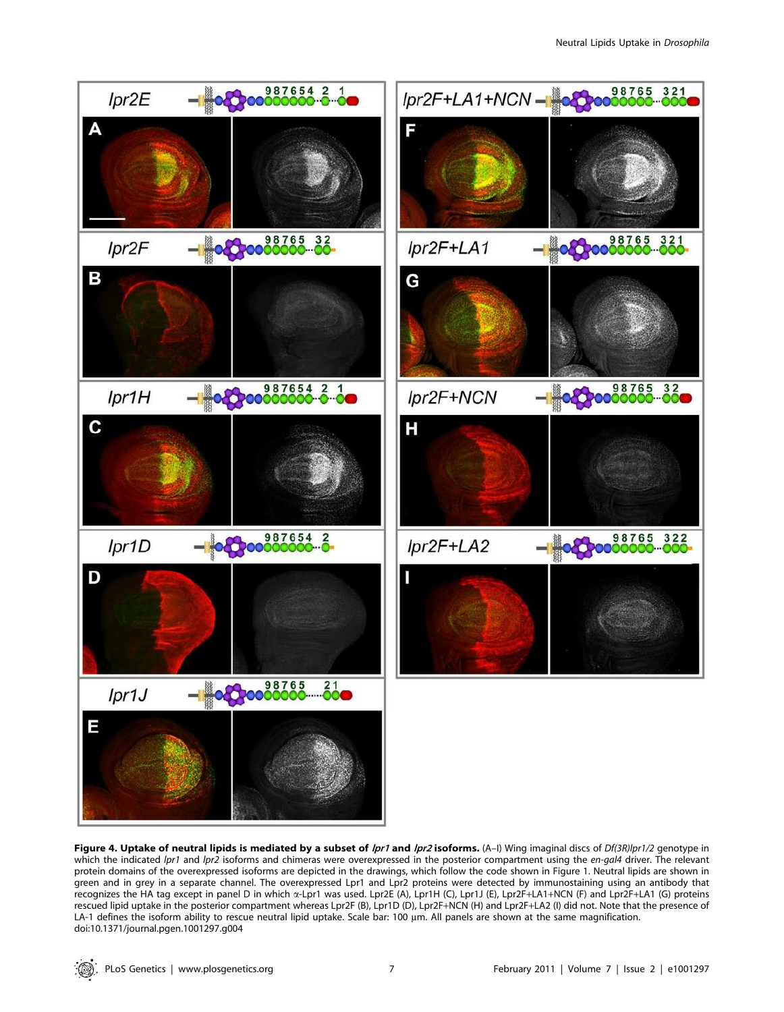

Figure 4. Uptake of neutral lipids is mediated by a subset of *lpr1* and *lpr2* isoforms. (A-I) Wing imaginal discs of Df(3R)lpr1/2 genotype in which the indicated lpr1 and lpr2 isoforms and chimeras were overexpressed in the posterior compartment using the en-gal4 driver. The relevant protein domains of the overexpressed isoforms are depicted in the drawings, which follow the code shown in Figure 1. Neutral lipids are shown in green and in grey in a separate channel. The overexpressed Lpr1 and Lpr2 proteins were detected by immunostaining using an antibody that recognizes the HA tag except in panel D in which a-Lpr1 was used. Lpr2E (A), Lpr1H (C), Lpr1J (E), Lpr2F+LA1+NCN (F) and Lpr2F+LA1 (G) proteins rescued lipid uptake in the posterior compartment whereas Lpr2F (B), Lpr1D (D), Lpr2F+NCN (H) and Lpr2F+LA2 (I) did not. Note that the presence of LA-1 defines the isoform ability to rescue neutral lipid uptake. Scale bar: 100 µm. All panels are shown at the same magnification. doi:10.1371/journal.pgen.1001297.g004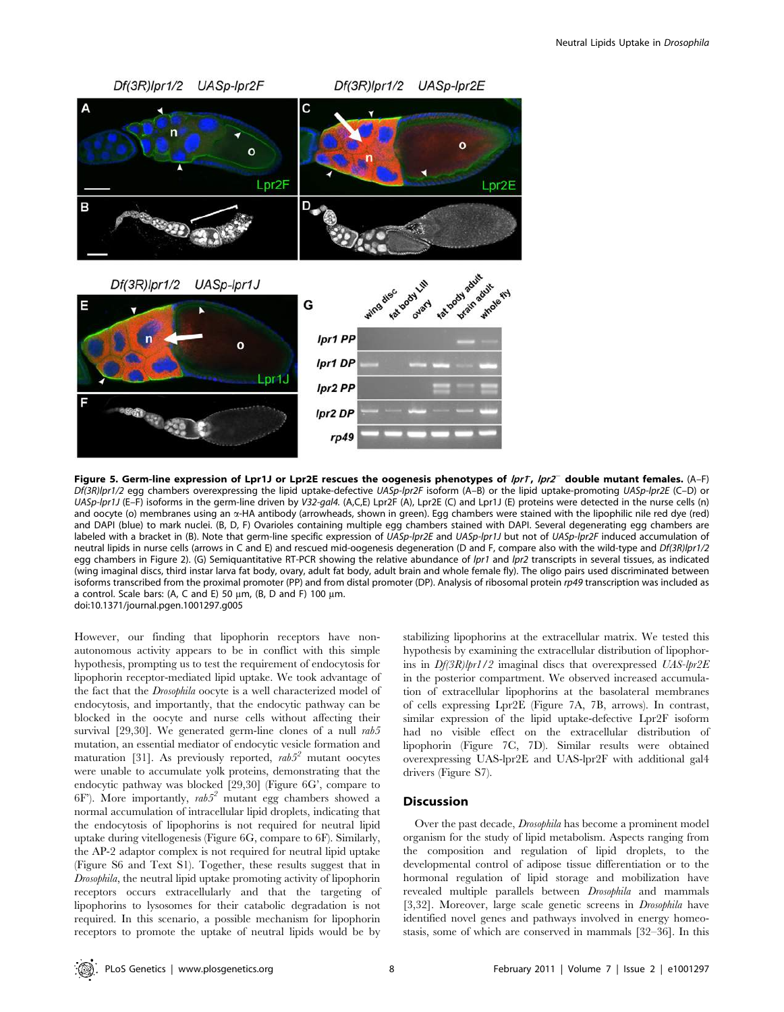

Figure 5. Germ-line expression of Lpr1J or Lpr2E rescues the oogenesis phenotypes of *lprT, lpr2*<sup>-</sup> double mutant females. (A-F) Df(3R)lpr1/2 egg chambers overexpressing the lipid uptake-defective UASp-lpr2F isoform (A–B) or the lipid uptake-promoting UASp-lpr2E (C–D) or UASp-lpr1J (E-F) isoforms in the germ-line driven by V32-gal4. (A,C,E) Lpr2F (A), Lpr2E (C) and Lpr1J (E) proteins were detected in the nurse cells (n) and oocyte (o) membranes using an  $\alpha$ -HA antibody (arrowheads, shown in green). Egg chambers were stained with the lipophilic nile red dye (red) and DAPI (blue) to mark nuclei. (B, D, F) Ovarioles containing multiple egg chambers stained with DAPI. Several degenerating egg chambers are labeled with a bracket in (B). Note that germ-line specific expression of UASp-lpr2E and UASp-lpr1J but not of UASp-lpr2F induced accumulation of neutral lipids in nurse cells (arrows in C and E) and rescued mid-oogenesis degeneration (D and F, compare also with the wild-type and Df(3R)lpr1/2 egg chambers in Figure 2). (G) Semiquantitative RT-PCR showing the relative abundance of lpr1 and lpr2 transcripts in several tissues, as indicated (wing imaginal discs, third instar larva fat body, ovary, adult fat body, adult brain and whole female fly). The oligo pairs used discriminated between isoforms transcribed from the proximal promoter (PP) and from distal promoter (DP). Analysis of ribosomal protein rp49 transcription was included as a control. Scale bars: (A, C and E) 50  $\mu$ m, (B, D and F) 100  $\mu$ m. doi:10.1371/journal.pgen.1001297.g005

However, our finding that lipophorin receptors have nonautonomous activity appears to be in conflict with this simple hypothesis, prompting us to test the requirement of endocytosis for lipophorin receptor-mediated lipid uptake. We took advantage of the fact that the Drosophila oocyte is a well characterized model of endocytosis, and importantly, that the endocytic pathway can be blocked in the oocyte and nurse cells without affecting their survival [29,30]. We generated germ-line clones of a null rab5 mutation, an essential mediator of endocytic vesicle formation and maturation [31]. As previously reported,  $rab5<sup>2</sup>$  mutant oocytes were unable to accumulate yolk proteins, demonstrating that the endocytic pathway was blocked [29,30] (Figure 6G', compare to 6F'). More importantly,  $rab5<sup>2</sup>$  mutant egg chambers showed a normal accumulation of intracellular lipid droplets, indicating that the endocytosis of lipophorins is not required for neutral lipid uptake during vitellogenesis (Figure 6G, compare to 6F). Similarly, the AP-2 adaptor complex is not required for neutral lipid uptake (Figure S6 and Text S1). Together, these results suggest that in Drosophila, the neutral lipid uptake promoting activity of lipophorin receptors occurs extracellularly and that the targeting of lipophorins to lysosomes for their catabolic degradation is not required. In this scenario, a possible mechanism for lipophorin receptors to promote the uptake of neutral lipids would be by

stabilizing lipophorins at the extracellular matrix. We tested this hypothesis by examining the extracellular distribution of lipophorins in Df(3R)lpr1/2 imaginal discs that overexpressed UAS-lpr2E in the posterior compartment. We observed increased accumulation of extracellular lipophorins at the basolateral membranes of cells expressing Lpr2E (Figure 7A, 7B, arrows). In contrast, similar expression of the lipid uptake-defective Lpr2F isoform had no visible effect on the extracellular distribution of lipophorin (Figure 7C, 7D). Similar results were obtained overexpressing UAS-lpr2E and UAS-lpr2F with additional gal4 drivers (Figure S7).

### Discussion

Over the past decade, Drosophila has become a prominent model organism for the study of lipid metabolism. Aspects ranging from the composition and regulation of lipid droplets, to the developmental control of adipose tissue differentiation or to the hormonal regulation of lipid storage and mobilization have revealed multiple parallels between Drosophila and mammals [3,32]. Moreover, large scale genetic screens in Drosophila have identified novel genes and pathways involved in energy homeostasis, some of which are conserved in mammals [32–36]. In this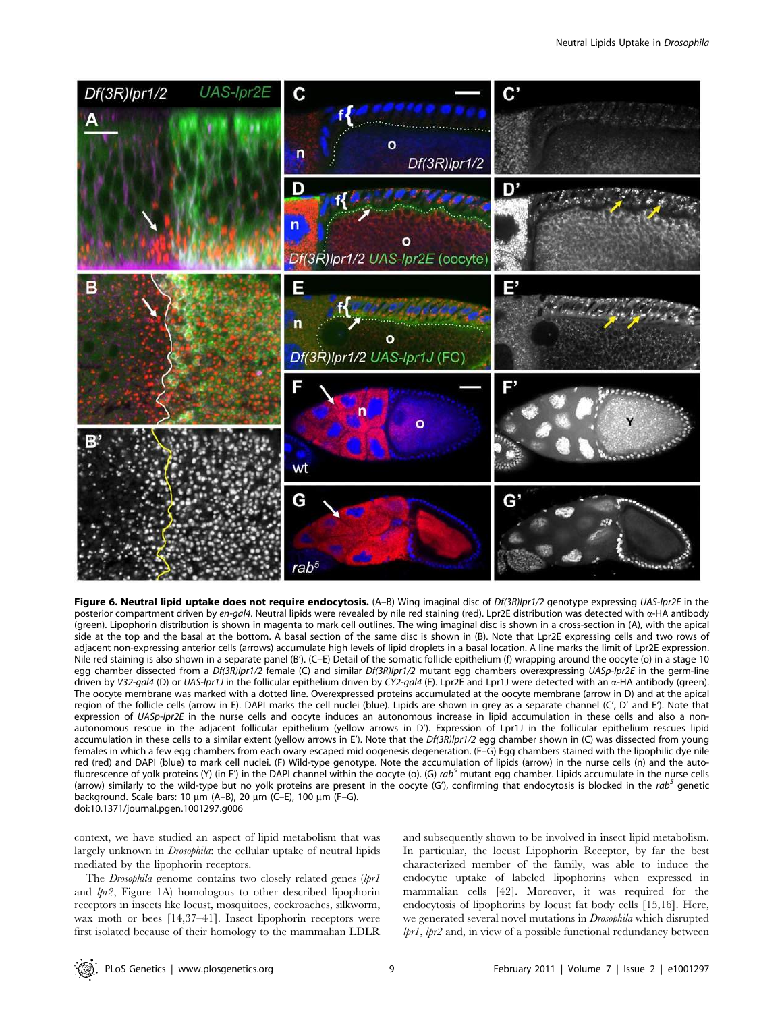

Figure 6. Neutral lipid uptake does not require endocytosis. (A-B) Wing imaginal disc of Df(3R)lpr1/2 genotype expressing UAS-lpr2E in the posterior compartment driven by en-gal4. Neutral lipids were revealed by nile red staining (red). Lpr2E distribution was detected with  $\alpha$ -HA antibody (green). Lipophorin distribution is shown in magenta to mark cell outlines. The wing imaginal disc is shown in a cross-section in (A), with the apical side at the top and the basal at the bottom. A basal section of the same disc is shown in (B). Note that Lpr2E expressing cells and two rows of adjacent non-expressing anterior cells (arrows) accumulate high levels of lipid droplets in a basal location. A line marks the limit of Lpr2E expression. Nile red staining is also shown in a separate panel (B'). (C–E) Detail of the somatic follicle epithelium (f) wrapping around the oocyte (o) in a stage 10 egg chamber dissected from a Df(3R)lpr1/2 female (C) and similar Df(3R)lpr1/2 mutant egg chambers overexpressing UASp-lpr2E in the germ-line driven by V32-gal4 (D) or UAS-lpr1J in the follicular epithelium driven by CY2-gal4 (E). Lpr2E and Lpr1J were detected with an  $\alpha$ -HA antibody (green). The oocyte membrane was marked with a dotted line. Overexpressed proteins accumulated at the oocyte membrane (arrow in D) and at the apical region of the follicle cells (arrow in E). DAPI marks the cell nuclei (blue). Lipids are shown in grey as a separate channel (C', D' and E'). Note that expression of UASp-lpr2E in the nurse cells and oocyte induces an autonomous increase in lipid accumulation in these cells and also a nonautonomous rescue in the adjacent follicular epithelium (yellow arrows in D'). Expression of Lpr1J in the follicular epithelium rescues lipid accumulation in these cells to a similar extent (yellow arrows in E'). Note that the Df(3R)lpr1/2 egg chamber shown in (C) was dissected from young females in which a few egg chambers from each ovary escaped mid oogenesis degeneration. (F–G) Egg chambers stained with the lipophilic dye nile red (red) and DAPI (blue) to mark cell nuclei. (F) Wild-type genotype. Note the accumulation of lipids (arrow) in the nurse cells (n) and the autofluorescence of yolk proteins (Y) (in F') in the DAPI channel within the oocyte (o). (G) rab<sup>5</sup> mutant egg chamber. Lipids accumulate in the nurse cells (arrow) similarly to the wild-type but no yolk proteins are present in the oocyte (G'), confirming that endocytosis is blocked in the rab<sup>5</sup> genetic background. Scale bars: 10  $\mu$ m (A–B), 20  $\mu$ m (C–E), 100  $\mu$ m (F–G). doi:10.1371/journal.pgen.1001297.g006

context, we have studied an aspect of lipid metabolism that was largely unknown in Drosophila: the cellular uptake of neutral lipids mediated by the lipophorin receptors.

The Drosophila genome contains two closely related genes (lpr1 and lpr2, Figure 1A) homologous to other described lipophorin receptors in insects like locust, mosquitoes, cockroaches, silkworm, wax moth or bees [14,37–41]. Insect lipophorin receptors were first isolated because of their homology to the mammalian LDLR and subsequently shown to be involved in insect lipid metabolism. In particular, the locust Lipophorin Receptor, by far the best characterized member of the family, was able to induce the endocytic uptake of labeled lipophorins when expressed in mammalian cells [42]. Moreover, it was required for the endocytosis of lipophorins by locust fat body cells [15,16]. Here, we generated several novel mutations in Drosophila which disrupted lpr1, lpr2 and, in view of a possible functional redundancy between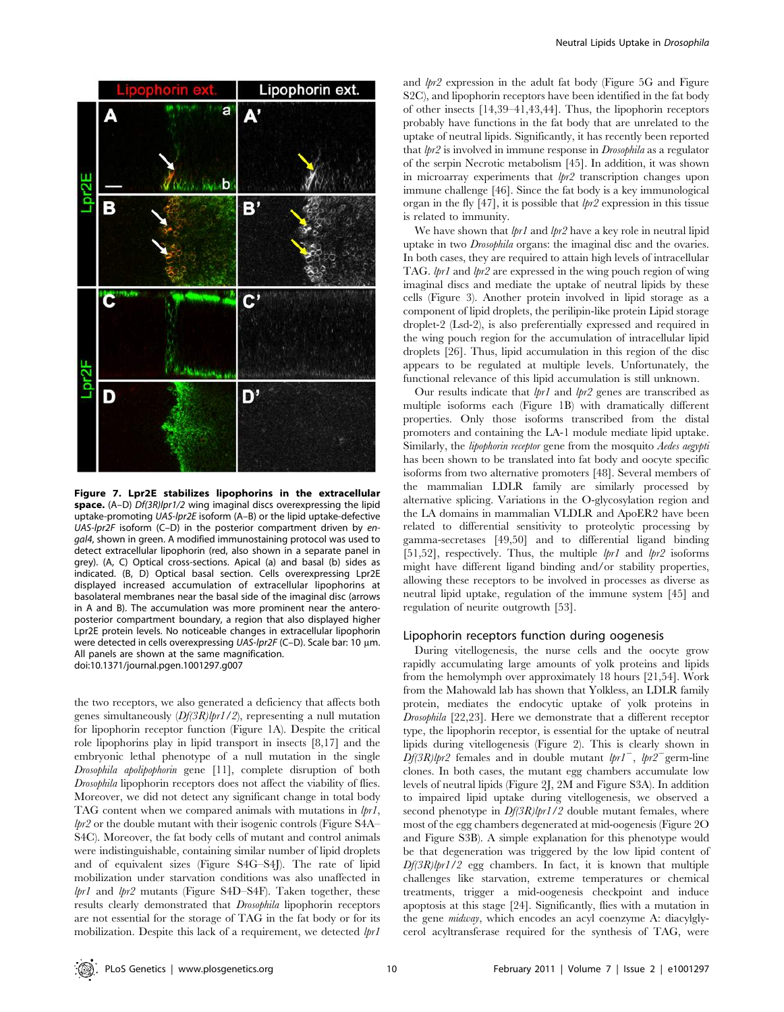

Figure 7. Lpr2E stabilizes lipophorins in the extracellular space. (A–D) Df(3R)lpr1/2 wing imaginal discs overexpressing the lipid uptake-promoting UAS-lpr2E isoform (A–B) or the lipid uptake-defective UAS-lpr2F isoform (C–D) in the posterior compartment driven by engal4, shown in green. A modified immunostaining protocol was used to detect extracellular lipophorin (red, also shown in a separate panel in grey). (A, C) Optical cross-sections. Apical (a) and basal (b) sides as indicated. (B, D) Optical basal section. Cells overexpressing Lpr2E displayed increased accumulation of extracellular lipophorins at basolateral membranes near the basal side of the imaginal disc (arrows in A and B). The accumulation was more prominent near the anteroposterior compartment boundary, a region that also displayed higher Lpr2E protein levels. No noticeable changes in extracellular lipophorin were detected in cells overexpressing UAS-lpr2F (C-D). Scale bar: 10 μm. All panels are shown at the same magnification. doi:10.1371/journal.pgen.1001297.g007

the two receptors, we also generated a deficiency that affects both genes simultaneously  $(Df(3R)lpr1/2)$ , representing a null mutation for lipophorin receptor function (Figure 1A). Despite the critical role lipophorins play in lipid transport in insects [8,17] and the embryonic lethal phenotype of a null mutation in the single Drosophila apolipophorin gene [11], complete disruption of both Drosophila lipophorin receptors does not affect the viability of flies. Moreover, we did not detect any significant change in total body TAG content when we compared animals with mutations in  $lpr1$ , lpr2 or the double mutant with their isogenic controls (Figure S4A– S4C). Moreover, the fat body cells of mutant and control animals were indistinguishable, containing similar number of lipid droplets and of equivalent sizes (Figure S4G–S4J). The rate of lipid mobilization under starvation conditions was also unaffected in lpr1 and lpr2 mutants (Figure S4D–S4F). Taken together, these results clearly demonstrated that Drosophila lipophorin receptors are not essential for the storage of TAG in the fat body or for its mobilization. Despite this lack of a requirement, we detected  $lpr1$ 

and lpr2 expression in the adult fat body (Figure 5G and Figure S2C), and lipophorin receptors have been identified in the fat body of other insects [14,39–41,43,44]. Thus, the lipophorin receptors probably have functions in the fat body that are unrelated to the uptake of neutral lipids. Significantly, it has recently been reported that  $lpr2$  is involved in immune response in *Drosophila* as a regulator of the serpin Necrotic metabolism [45]. In addition, it was shown in microarray experiments that  $lpr2$  transcription changes upon immune challenge [46]. Since the fat body is a key immunological organ in the fly [47], it is possible that  $lpr2$  expression in this tissue is related to immunity.

We have shown that  $lpr1$  and  $lpr2$  have a key role in neutral lipid uptake in two Drosophila organs: the imaginal disc and the ovaries. In both cases, they are required to attain high levels of intracellular TAG. lpr1 and lpr2 are expressed in the wing pouch region of wing imaginal discs and mediate the uptake of neutral lipids by these cells (Figure 3). Another protein involved in lipid storage as a component of lipid droplets, the perilipin-like protein Lipid storage droplet-2 (Lsd-2), is also preferentially expressed and required in the wing pouch region for the accumulation of intracellular lipid droplets [26]. Thus, lipid accumulation in this region of the disc appears to be regulated at multiple levels. Unfortunately, the functional relevance of this lipid accumulation is still unknown.

Our results indicate that  $lpr1$  and  $lpr2$  genes are transcribed as multiple isoforms each (Figure 1B) with dramatically different properties. Only those isoforms transcribed from the distal promoters and containing the LA-1 module mediate lipid uptake. Similarly, the lipophorin receptor gene from the mosquito Aedes aegypti has been shown to be translated into fat body and oocyte specific isoforms from two alternative promoters [48]. Several members of the mammalian LDLR family are similarly processed by alternative splicing. Variations in the O-glycosylation region and the LA domains in mammalian VLDLR and ApoER2 have been related to differential sensitivity to proteolytic processing by gamma-secretases [49,50] and to differential ligand binding [51,52], respectively. Thus, the multiple  $lpr1$  and  $lpr2$  isoforms might have different ligand binding and/or stability properties, allowing these receptors to be involved in processes as diverse as neutral lipid uptake, regulation of the immune system [45] and regulation of neurite outgrowth [53].

#### Lipophorin receptors function during oogenesis

During vitellogenesis, the nurse cells and the oocyte grow rapidly accumulating large amounts of yolk proteins and lipids from the hemolymph over approximately 18 hours [21,54]. Work from the Mahowald lab has shown that Yolkless, an LDLR family protein, mediates the endocytic uptake of yolk proteins in Drosophila [22,23]. Here we demonstrate that a different receptor type, the lipophorin receptor, is essential for the uptake of neutral lipids during vitellogenesis (Figure 2). This is clearly shown in  $Df(3R)$ lpr2 females and in double mutant lpr1<sup>-</sup>, lpr2<sup>-</sup>germ-line clones. In both cases, the mutant egg chambers accumulate low levels of neutral lipids (Figure 2J, 2M and Figure S3A). In addition to impaired lipid uptake during vitellogenesis, we observed a second phenotype in  $Df(3R)$ lpr1/2 double mutant females, where most of the egg chambers degenerated at mid-oogenesis (Figure 2O and Figure S3B). A simple explanation for this phenotype would be that degeneration was triggered by the low lipid content of  $Df(3R)$ lpr1/2 egg chambers. In fact, it is known that multiple challenges like starvation, extreme temperatures or chemical treatments, trigger a mid-oogenesis checkpoint and induce apoptosis at this stage [24]. Significantly, flies with a mutation in the gene midway, which encodes an acyl coenzyme A: diacylglycerol acyltransferase required for the synthesis of TAG, were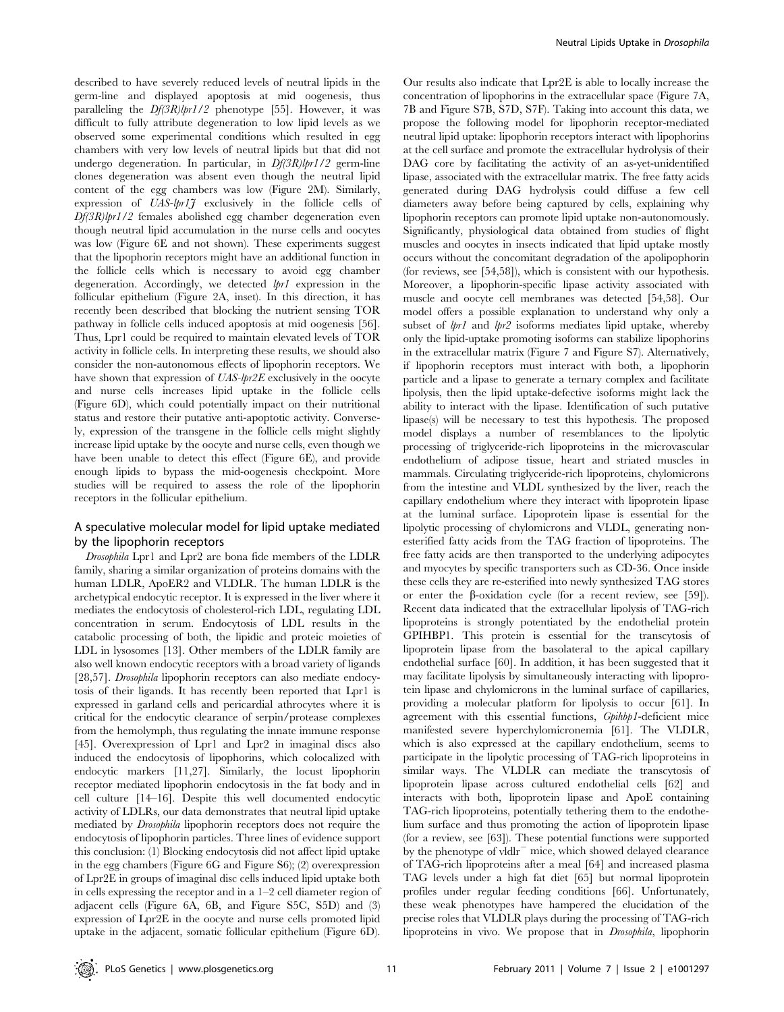described to have severely reduced levels of neutral lipids in the germ-line and displayed apoptosis at mid oogenesis, thus paralleling the  $Df(3R)$ lpr1/2 phenotype [55]. However, it was difficult to fully attribute degeneration to low lipid levels as we observed some experimental conditions which resulted in egg chambers with very low levels of neutral lipids but that did not undergo degeneration. In particular, in  $Df(3R)lpr1/2$  germ-line clones degeneration was absent even though the neutral lipid content of the egg chambers was low (Figure 2M). Similarly, expression of  $UAS$ -lpr1 $\tilde{J}$  exclusively in the follicle cells of  $Df(3R)lpr1/2$  females abolished egg chamber degeneration even though neutral lipid accumulation in the nurse cells and oocytes was low (Figure 6E and not shown). These experiments suggest that the lipophorin receptors might have an additional function in the follicle cells which is necessary to avoid egg chamber degeneration. Accordingly, we detected lpr1 expression in the follicular epithelium (Figure 2A, inset). In this direction, it has recently been described that blocking the nutrient sensing TOR pathway in follicle cells induced apoptosis at mid oogenesis [56]. Thus, Lpr1 could be required to maintain elevated levels of TOR activity in follicle cells. In interpreting these results, we should also consider the non-autonomous effects of lipophorin receptors. We have shown that expression of UAS-lpr2E exclusively in the oocyte and nurse cells increases lipid uptake in the follicle cells (Figure 6D), which could potentially impact on their nutritional status and restore their putative anti-apoptotic activity. Conversely, expression of the transgene in the follicle cells might slightly increase lipid uptake by the oocyte and nurse cells, even though we have been unable to detect this effect (Figure 6E), and provide enough lipids to bypass the mid-oogenesis checkpoint. More studies will be required to assess the role of the lipophorin receptors in the follicular epithelium.

# A speculative molecular model for lipid uptake mediated by the lipophorin receptors

Drosophila Lpr1 and Lpr2 are bona fide members of the LDLR family, sharing a similar organization of proteins domains with the human LDLR, ApoER2 and VLDLR. The human LDLR is the archetypical endocytic receptor. It is expressed in the liver where it mediates the endocytosis of cholesterol-rich LDL, regulating LDL concentration in serum. Endocytosis of LDL results in the catabolic processing of both, the lipidic and proteic moieties of LDL in lysosomes [13]. Other members of the LDLR family are also well known endocytic receptors with a broad variety of ligands [28,57]. Drosophila lipophorin receptors can also mediate endocytosis of their ligands. It has recently been reported that Lpr1 is expressed in garland cells and pericardial athrocytes where it is critical for the endocytic clearance of serpin/protease complexes from the hemolymph, thus regulating the innate immune response [45]. Overexpression of Lpr1 and Lpr2 in imaginal discs also induced the endocytosis of lipophorins, which colocalized with endocytic markers [11,27]. Similarly, the locust lipophorin receptor mediated lipophorin endocytosis in the fat body and in cell culture [14–16]. Despite this well documented endocytic activity of LDLRs, our data demonstrates that neutral lipid uptake mediated by Drosophila lipophorin receptors does not require the endocytosis of lipophorin particles. Three lines of evidence support this conclusion: (1) Blocking endocytosis did not affect lipid uptake in the egg chambers (Figure 6G and Figure S6); (2) overexpression of Lpr2E in groups of imaginal disc cells induced lipid uptake both in cells expressing the receptor and in a 1–2 cell diameter region of adjacent cells (Figure 6A, 6B, and Figure S5C, S5D) and (3) expression of Lpr2E in the oocyte and nurse cells promoted lipid uptake in the adjacent, somatic follicular epithelium (Figure 6D).

Our results also indicate that Lpr2E is able to locally increase the concentration of lipophorins in the extracellular space (Figure 7A, 7B and Figure S7B, S7D, S7F). Taking into account this data, we propose the following model for lipophorin receptor-mediated neutral lipid uptake: lipophorin receptors interact with lipophorins at the cell surface and promote the extracellular hydrolysis of their DAG core by facilitating the activity of an as-yet-unidentified lipase, associated with the extracellular matrix. The free fatty acids generated during DAG hydrolysis could diffuse a few cell diameters away before being captured by cells, explaining why lipophorin receptors can promote lipid uptake non-autonomously. Significantly, physiological data obtained from studies of flight muscles and oocytes in insects indicated that lipid uptake mostly occurs without the concomitant degradation of the apolipophorin (for reviews, see [54,58]), which is consistent with our hypothesis. Moreover, a lipophorin-specific lipase activity associated with muscle and oocyte cell membranes was detected [54,58]. Our model offers a possible explanation to understand why only a subset of *lpr1* and *lpr2* isoforms mediates lipid uptake, whereby only the lipid-uptake promoting isoforms can stabilize lipophorins in the extracellular matrix (Figure 7 and Figure S7). Alternatively, if lipophorin receptors must interact with both, a lipophorin particle and a lipase to generate a ternary complex and facilitate lipolysis, then the lipid uptake-defective isoforms might lack the ability to interact with the lipase. Identification of such putative lipase(s) will be necessary to test this hypothesis. The proposed model displays a number of resemblances to the lipolytic processing of triglyceride-rich lipoproteins in the microvascular endothelium of adipose tissue, heart and striated muscles in mammals. Circulating triglyceride-rich lipoproteins, chylomicrons from the intestine and VLDL synthesized by the liver, reach the capillary endothelium where they interact with lipoprotein lipase at the luminal surface. Lipoprotein lipase is essential for the lipolytic processing of chylomicrons and VLDL, generating nonesterified fatty acids from the TAG fraction of lipoproteins. The free fatty acids are then transported to the underlying adipocytes and myocytes by specific transporters such as CD-36. Once inside these cells they are re-esterified into newly synthesized TAG stores or enter the  $\beta$ -oxidation cycle (for a recent review, see [59]). Recent data indicated that the extracellular lipolysis of TAG-rich lipoproteins is strongly potentiated by the endothelial protein GPIHBP1. This protein is essential for the transcytosis of lipoprotein lipase from the basolateral to the apical capillary endothelial surface [60]. In addition, it has been suggested that it may facilitate lipolysis by simultaneously interacting with lipoprotein lipase and chylomicrons in the luminal surface of capillaries, providing a molecular platform for lipolysis to occur [61]. In agreement with this essential functions, Gpihbp1-deficient mice manifested severe hyperchylomicronemia [61]. The VLDLR, which is also expressed at the capillary endothelium, seems to participate in the lipolytic processing of TAG-rich lipoproteins in similar ways. The VLDLR can mediate the transcytosis of lipoprotein lipase across cultured endothelial cells [62] and interacts with both, lipoprotein lipase and ApoE containing TAG-rich lipoproteins, potentially tethering them to the endothelium surface and thus promoting the action of lipoprotein lipase (for a review, see [63]). These potential functions were supported by the phenotype of vldlr $^-$  mice, which showed delayed clearance of TAG-rich lipoproteins after a meal [64] and increased plasma TAG levels under a high fat diet [65] but normal lipoprotein profiles under regular feeding conditions [66]. Unfortunately, these weak phenotypes have hampered the elucidation of the precise roles that VLDLR plays during the processing of TAG-rich lipoproteins in vivo. We propose that in Drosophila, lipophorin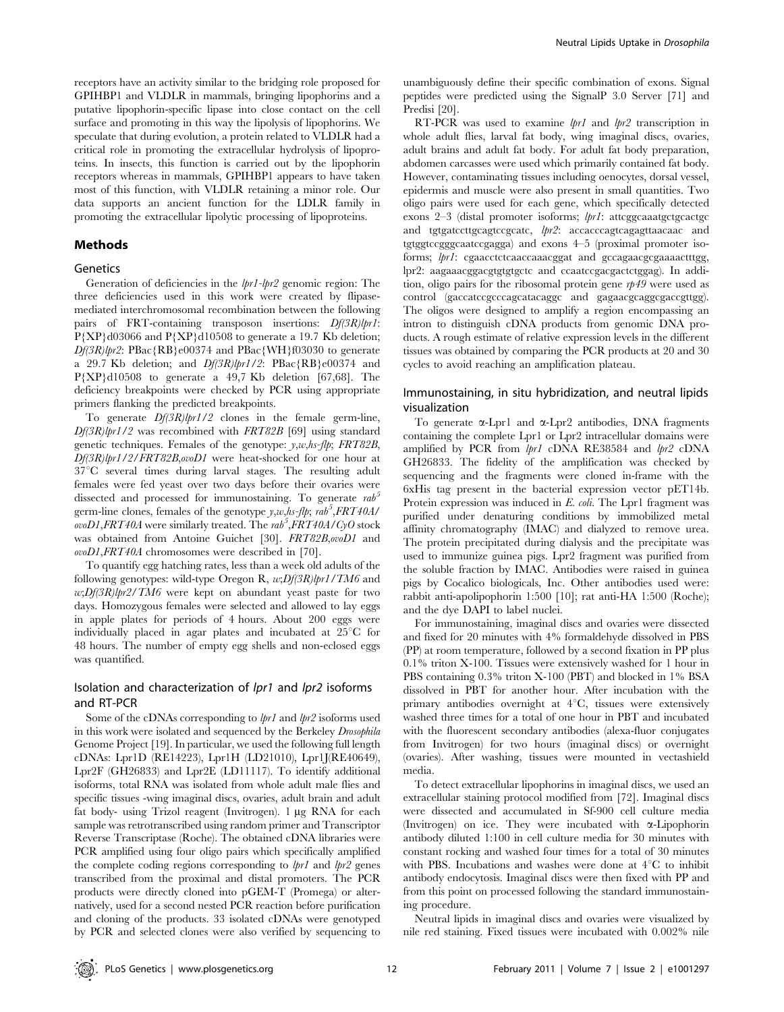receptors have an activity similar to the bridging role proposed for GPIHBP1 and VLDLR in mammals, bringing lipophorins and a putative lipophorin-specific lipase into close contact on the cell surface and promoting in this way the lipolysis of lipophorins. We speculate that during evolution, a protein related to VLDLR had a critical role in promoting the extracellular hydrolysis of lipoproteins. In insects, this function is carried out by the lipophorin receptors whereas in mammals, GPIHBP1 appears to have taken most of this function, with VLDLR retaining a minor role. Our data supports an ancient function for the LDLR family in promoting the extracellular lipolytic processing of lipoproteins.

#### Methods

#### Genetics

Generation of deficiencies in the lpr1-lpr2 genomic region: The three deficiencies used in this work were created by flipasemediated interchromosomal recombination between the following pairs of FRT-containing transposon insertions:  $Df(3R)lpr1$ : P{XP}d03066 and P{XP}d10508 to generate a 19.7 Kb deletion;  $Df(3R)$ lpr2: PBac{RB}e00374 and PBac{WH}f03030 to generate a 29.7 Kb deletion; and  $Df(3R)lpr1/2$ : PBac{RB}e00374 and P{XP}d10508 to generate a 49,7 Kb deletion [67,68]. The deficiency breakpoints were checked by PCR using appropriate primers flanking the predicted breakpoints.

To generate  $Df(3R)lpr1/2$  clones in the female germ-line,  $Df(3R)lpr1/2$  was recombined with FRT82B [69] using standard genetic techniques. Females of the genotype:  $y$ ,w,hs-flp; FRT82B, Df(3R)lpr1/2/FRT82B,ovoD1 were heat-shocked for one hour at  $37^{\circ}$ C several times during larval stages. The resulting adult females were fed yeast over two days before their ovaries were dissected and processed for immunostaining. To generate  $rab<sup>5</sup>$ germ-line clones, females of the genotype  $y$ ,w,hs-flp; rab<sup>5</sup>,FRT40A/  $\overline{ov}$ D1,FRT40A were similarly treated. The rab<sup>5</sup>,FRT40A/CyO stock was obtained from Antoine Guichet [30]. FRT82B,ovoD1 and  $ovoDI, FRT40A$  chromosomes were described in [70].

To quantify egg hatching rates, less than a week old adults of the following genotypes: wild-type Oregon R,  $w;Df(3R)lpr1/TM6$  and  $w$ ;Df(3R)lpr2/TM6 were kept on abundant yeast paste for two days. Homozygous females were selected and allowed to lay eggs in apple plates for periods of 4 hours. About 200 eggs were individually placed in agar plates and incubated at  $25^{\circ}$ C for 48 hours. The number of empty egg shells and non-eclosed eggs was quantified.

## Isolation and characterization of lpr1 and lpr2 isoforms and RT-PCR

Some of the cDNAs corresponding to  $lpr1$  and  $lpr2$  isoforms used in this work were isolated and sequenced by the Berkeley Drosophila Genome Project [19]. In particular, we used the following full length cDNAs: Lpr1D (RE14223), Lpr1H (LD21010), Lpr1J(RE40649), Lpr2F (GH26833) and Lpr2E (LD11117). To identify additional isoforms, total RNA was isolated from whole adult male flies and specific tissues -wing imaginal discs, ovaries, adult brain and adult fat body- using Trizol reagent (Invitrogen). 1 µg RNA for each sample was retrotranscribed using random primer and Transcriptor Reverse Transcriptase (Roche). The obtained cDNA libraries were PCR amplified using four oligo pairs which specifically amplified the complete coding regions corresponding to  $lpr1$  and  $lpr2$  genes transcribed from the proximal and distal promoters. The PCR products were directly cloned into pGEM-T (Promega) or alternatively, used for a second nested PCR reaction before purification and cloning of the products. 33 isolated cDNAs were genotyped by PCR and selected clones were also verified by sequencing to unambiguously define their specific combination of exons. Signal peptides were predicted using the SignalP 3.0 Server [71] and Predisi [20].

RT-PCR was used to examine *lpr1* and *lpr2* transcription in whole adult flies, larval fat body, wing imaginal discs, ovaries, adult brains and adult fat body. For adult fat body preparation, abdomen carcasses were used which primarily contained fat body. However, contaminating tissues including oenocytes, dorsal vessel, epidermis and muscle were also present in small quantities. Two oligo pairs were used for each gene, which specifically detected exons  $2-3$  (distal promoter isoforms;  $lpr1$ : attcggcaaatgctgcactgc and tgtgatccttgcagtccgcatc, lpr2: accacccagtcagagttaacaac and tgtggtccgggcaatccgagga) and exons 4–5 (proximal promoter isoforms;  $lpr1$ : cgaacctctcaaccaaacggat and gccagaacgcgaaaactttgg, lpr2: aagaaacggacgtgtgtgctc and ccaatccgacgactctggag). In addition, oligo pairs for the ribosomal protein gene rp49 were used as control (gaccatccgcccagcatacaggc and gagaacgcaggcgaccgttgg). The oligos were designed to amplify a region encompassing an intron to distinguish cDNA products from genomic DNA products. A rough estimate of relative expression levels in the different tissues was obtained by comparing the PCR products at 20 and 30 cycles to avoid reaching an amplification plateau.

# Immunostaining, in situ hybridization, and neutral lipids visualization

To generate  $\alpha$ -Lpr1 and  $\alpha$ -Lpr2 antibodies, DNA fragments containing the complete Lpr1 or Lpr2 intracellular domains were amplified by PCR from lpr1 cDNA RE38584 and lpr2 cDNA GH26833. The fidelity of the amplification was checked by sequencing and the fragments were cloned in-frame with the 6xHis tag present in the bacterial expression vector pET14b. Protein expression was induced in E. coli. The Lpr1 fragment was purified under denaturing conditions by immobilized metal affinity chromatography (IMAC) and dialyzed to remove urea. The protein precipitated during dialysis and the precipitate was used to immunize guinea pigs. Lpr2 fragment was purified from the soluble fraction by IMAC. Antibodies were raised in guinea pigs by Cocalico biologicals, Inc. Other antibodies used were: rabbit anti-apolipophorin 1:500 [10]; rat anti-HA 1:500 (Roche); and the dye DAPI to label nuclei.

For immunostaining, imaginal discs and ovaries were dissected and fixed for 20 minutes with 4% formaldehyde dissolved in PBS (PP) at room temperature, followed by a second fixation in PP plus 0.1% triton X-100. Tissues were extensively washed for 1 hour in PBS containing 0.3% triton X-100 (PBT) and blocked in 1% BSA dissolved in PBT for another hour. After incubation with the primary antibodies overnight at  $4^{\circ}C$ , tissues were extensively washed three times for a total of one hour in PBT and incubated with the fluorescent secondary antibodies (alexa-fluor conjugates from Invitrogen) for two hours (imaginal discs) or overnight (ovaries). After washing, tissues were mounted in vectashield media.

To detect extracellular lipophorins in imaginal discs, we used an extracellular staining protocol modified from [72]. Imaginal discs were dissected and accumulated in Sf-900 cell culture media (Invitrogen) on ice. They were incubated with a-Lipophorin antibody diluted 1:100 in cell culture media for 30 minutes with constant rocking and washed four times for a total of 30 minutes with PBS. Incubations and washes were done at  $4^{\circ}C$  to inhibit antibody endocytosis. Imaginal discs were then fixed with PP and from this point on processed following the standard immunostaining procedure.

Neutral lipids in imaginal discs and ovaries were visualized by nile red staining. Fixed tissues were incubated with 0.002% nile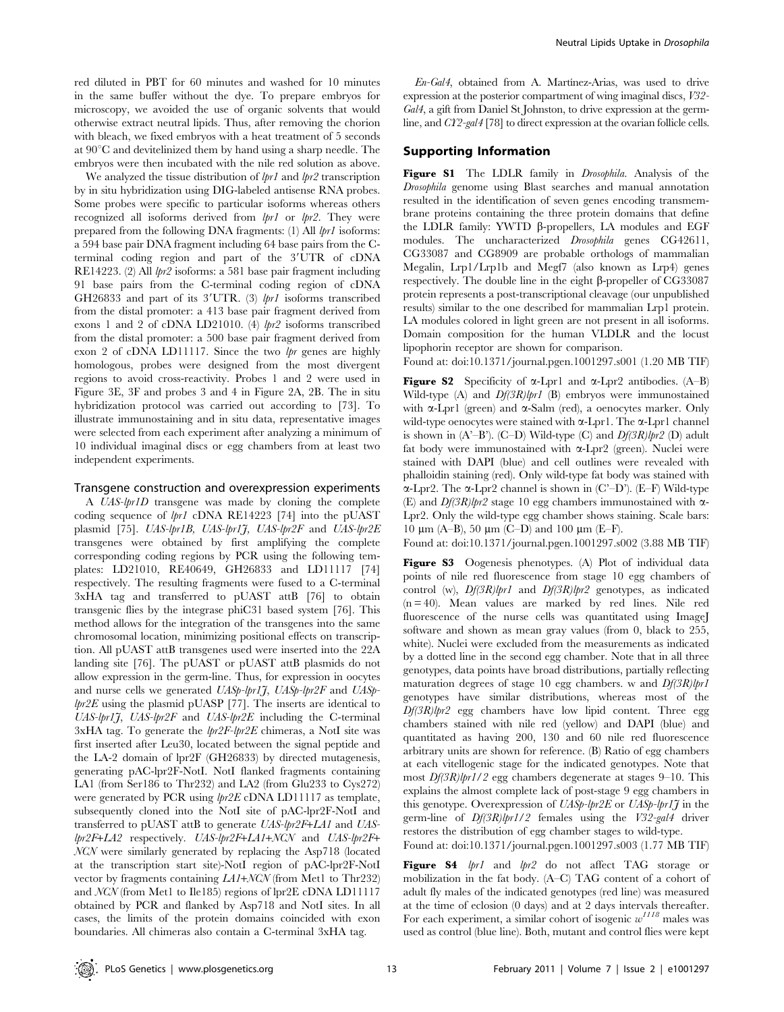red diluted in PBT for 60 minutes and washed for 10 minutes in the same buffer without the dye. To prepare embryos for microscopy, we avoided the use of organic solvents that would otherwise extract neutral lipids. Thus, after removing the chorion with bleach, we fixed embryos with a heat treatment of 5 seconds at  $90^{\circ}$ C and devitelinized them by hand using a sharp needle. The embryos were then incubated with the nile red solution as above.

We analyzed the tissue distribution of  $lpr1$  and  $lpr2$  transcription by in situ hybridization using DIG-labeled antisense RNA probes. Some probes were specific to particular isoforms whereas others recognized all isoforms derived from  $lpr1$  or  $lpr2$ . They were prepared from the following DNA fragments: (1) All lpr1 isoforms: a 594 base pair DNA fragment including 64 base pairs from the Cterminal coding region and part of the 3'UTR of cDNA RE14223. (2) All  $lpr2$  isoforms: a 581 base pair fragment including 91 base pairs from the C-terminal coding region of cDNA GH26833 and part of its 3'UTR. (3)  $lpr1$  isoforms transcribed from the distal promoter: a 413 base pair fragment derived from exons 1 and 2 of cDNA LD21010. (4) lpr2 isoforms transcribed from the distal promoter: a 500 base pair fragment derived from exon 2 of cDNA LD11117. Since the two  $lpr$  genes are highly homologous, probes were designed from the most divergent regions to avoid cross-reactivity. Probes 1 and 2 were used in Figure 3E, 3F and probes 3 and 4 in Figure 2A, 2B. The in situ hybridization protocol was carried out according to [73]. To illustrate immunostaining and in situ data, representative images were selected from each experiment after analyzing a minimum of 10 individual imaginal discs or egg chambers from at least two independent experiments.

#### Transgene construction and overexpression experiments

A UAS-lpr1D transgene was made by cloning the complete coding sequence of lpr1 cDNA RE14223 [74] into the pUAST plasmid [75]. UAS-lpr1B, UAS-lpr1J, UAS-lpr2F and UAS-lpr2E transgenes were obtained by first amplifying the complete corresponding coding regions by PCR using the following templates: LD21010, RE40649, GH26833 and LD11117 [74] respectively. The resulting fragments were fused to a C-terminal 3xHA tag and transferred to pUAST attB [76] to obtain transgenic flies by the integrase phiC31 based system [76]. This method allows for the integration of the transgenes into the same chromosomal location, minimizing positional effects on transcription. All pUAST attB transgenes used were inserted into the 22A landing site [76]. The pUAST or pUAST attB plasmids do not allow expression in the germ-line. Thus, for expression in oocytes and nurse cells we generated  $UASp-lpr1\tilde{J}$ ,  $UASp-lpr2F$  and  $UASp$  $lpr2E$  using the plasmid pUASP [77]. The inserts are identical to UAS-lpr1J, UAS-lpr2F and UAS-lpr2E including the C-terminal  $3xHA$  tag. To generate the  $lpr2F-lpr2E$  chimeras, a NotI site was first inserted after Leu30, located between the signal peptide and the LA-2 domain of lpr2F (GH26833) by directed mutagenesis, generating pAC-lpr2F-NotI. NotI flanked fragments containing LA1 (from Ser186 to Thr232) and LA2 (from Glu233 to Cys272) were generated by PCR using lpr2E cDNA LD11117 as template, subsequently cloned into the NotI site of pAC-lpr2F-NotI and transferred to pUAST attB to generate UAS-lpr2F+LA1 and UASlpr2F+LA2 respectively. UAS-lpr2F+LA1+NCN and UAS-lpr2F+ NCN were similarly generated by replacing the Asp718 (located at the transcription start site)-NotI region of pAC-lpr2F-NotI vector by fragments containing LA1+NCN (from Met1 to Thr232) and NCN (from Met1 to Ile185) regions of lpr2E cDNA LD11117 obtained by PCR and flanked by Asp718 and NotI sites. In all cases, the limits of the protein domains coincided with exon boundaries. All chimeras also contain a C-terminal 3xHA tag.

 $En-Gal4$ , obtained from A. Martínez-Arias, was used to drive expression at the posterior compartment of wing imaginal discs, V32- Gal4, a gift from Daniel St Johnston, to drive expression at the germline, and CY2-gal4 [78] to direct expression at the ovarian follicle cells.

## Supporting Information

Figure S1 The LDLR family in *Drosophila*. Analysis of the Drosophila genome using Blast searches and manual annotation resulted in the identification of seven genes encoding transmembrane proteins containing the three protein domains that define the LDLR family: YWTD  $\beta$ -propellers, LA modules and EGF modules. The uncharacterized Drosophila genes CG42611, CG33087 and CG8909 are probable orthologs of mammalian Megalin, Lrp1/Lrp1b and Megf7 (also known as Lrp4) genes respectively. The double line in the eight  $\beta$ -propeller of CG33087 protein represents a post-transcriptional cleavage (our unpublished results) similar to the one described for mammalian Lrp1 protein. LA modules colored in light green are not present in all isoforms. Domain composition for the human VLDLR and the locust lipophorin receptor are shown for comparison.

Found at: doi:10.1371/journal.pgen.1001297.s001 (1.20 MB TIF)

**Figure S2** Specificity of  $\alpha$ -Lpr1 and  $\alpha$ -Lpr2 antibodies. (A–B) Wild-type  $(A)$  and  $Df(3R)lpr1$  (B) embryos were immunostained with  $\alpha$ -Lpr1 (green) and  $\alpha$ -Salm (red), a oenocytes marker. Only wild-type oenocytes were stained with  $\alpha$ -Lpr1. The  $\alpha$ -Lpr1 channel is shown in  $(A^2-B^2)$ .  $(C-D)$  Wild-type  $(C)$  and  $Df(3R)$ lpr2  $(D)$  adult fat body were immunostained with  $\alpha$ -Lpr2 (green). Nuclei were stained with DAPI (blue) and cell outlines were revealed with phalloidin staining (red). Only wild-type fat body was stained with  $\alpha$ -Lpr2. The  $\alpha$ -Lpr2 channel is shown in (C'–D'). (E–F) Wild-type (E) and  $Df(3R)lpr2$  stage 10 egg chambers immunostained with  $\alpha$ -Lpr2. Only the wild-type egg chamber shows staining. Scale bars: 10  $\mu$ m (A–B), 50  $\mu$ m (C–D) and 100  $\mu$ m (E–F).

Found at: doi:10.1371/journal.pgen.1001297.s002 (3.88 MB TIF)

Figure S3 Oogenesis phenotypes. (A) Plot of individual data points of nile red fluorescence from stage 10 egg chambers of control (w),  $Df(3R)lpr1$  and  $Df(3R)lpr2$  genotypes, as indicated  $(n = 40)$ . Mean values are marked by red lines. Nile red fluorescence of the nurse cells was quantitated using ImageJ software and shown as mean gray values (from 0, black to 255, white). Nuclei were excluded from the measurements as indicated by a dotted line in the second egg chamber. Note that in all three genotypes, data points have broad distributions, partially reflecting maturation degrees of stage 10 egg chambers. w and  $Df(3R)lpr1$ genotypes have similar distributions, whereas most of the  $Df(3R)$ lpr2 egg chambers have low lipid content. Three egg chambers stained with nile red (yellow) and DAPI (blue) and quantitated as having 200, 130 and 60 nile red fluorescence arbitrary units are shown for reference. (B) Ratio of egg chambers at each vitellogenic stage for the indicated genotypes. Note that most  $Df(3R)lpr1/2$  egg chambers degenerate at stages 9–10. This explains the almost complete lack of post-stage 9 egg chambers in this genotype. Overexpression of  $UASp-lpr2E$  or  $UASp-lpr1\tilde{\jmath}$  in the germ-line of  $Df(3R)lpr1/2$  females using the  $V32-gal4$  driver restores the distribution of egg chamber stages to wild-type.

Found at: doi:10.1371/journal.pgen.1001297.s003 (1.77 MB TIF)

Figure S4 *lpr1* and *lpr2* do not affect TAG storage or mobilization in the fat body. (A–C) TAG content of a cohort of adult fly males of the indicated genotypes (red line) was measured at the time of eclosion (0 days) and at 2 days intervals thereafter. For each experiment, a similar cohort of isogenic  $w^{1118}$  males was used as control (blue line). Both, mutant and control flies were kept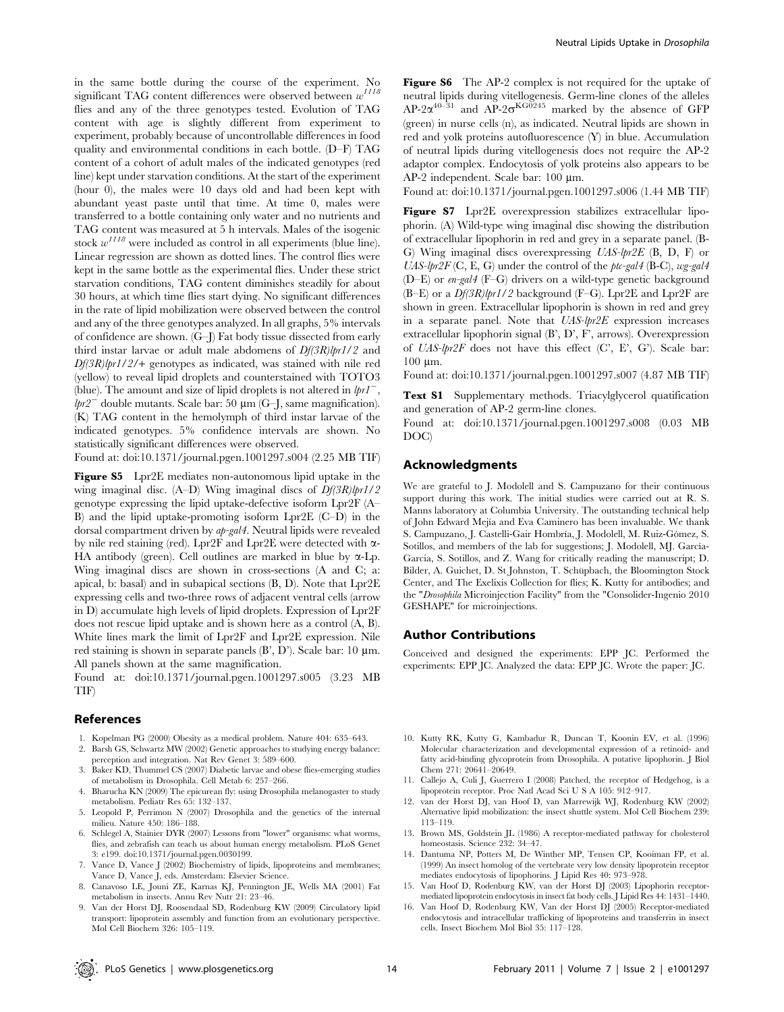in the same bottle during the course of the experiment. No significant TAG content differences were observed between  $w^{1118}$ flies and any of the three genotypes tested. Evolution of TAG content with age is slightly different from experiment to experiment, probably because of uncontrollable differences in food quality and environmental conditions in each bottle. (D–F) TAG content of a cohort of adult males of the indicated genotypes (red line) kept under starvation conditions. At the start of the experiment (hour 0), the males were 10 days old and had been kept with abundant yeast paste until that time. At time 0, males were transferred to a bottle containing only water and no nutrients and TAG content was measured at 5 h intervals. Males of the isogenic stock  $w^{1118}$  were included as control in all experiments (blue line). Linear regression are shown as dotted lines. The control flies were kept in the same bottle as the experimental flies. Under these strict starvation conditions, TAG content diminishes steadily for about 30 hours, at which time flies start dying. No significant differences in the rate of lipid mobilization were observed between the control and any of the three genotypes analyzed. In all graphs, 5% intervals of confidence are shown. (G–J) Fat body tissue dissected from early third instar larvae or adult male abdomens of  $Df(3R)lpr1/2$  and  $Df(3R)$ lpr1/2/+ genotypes as indicated, was stained with nile red (yellow) to reveal lipid droplets and counterstained with TOTO3 (blue). The amount and size of lipid droplets is not altered in  $lprI^-$ ,  $lpr2^-$  double mutants. Scale bar: 50  $\mu$ m (G–J, same magnification). (K) TAG content in the hemolymph of third instar larvae of the indicated genotypes. 5% confidence intervals are shown. No statistically significant differences were observed.

Found at: doi:10.1371/journal.pgen.1001297.s004 (2.25 MB TIF)

Figure S5 Lpr2E mediates non-autonomous lipid uptake in the wing imaginal disc.  $(A-D)$  Wing imaginal discs of  $Df(3R)lpr1/2$ genotype expressing the lipid uptake-defective isoform Lpr2F (A– B) and the lipid uptake-promoting isoform Lpr2E (C–D) in the dorsal compartment driven by ap-gal4. Neutral lipids were revealed by nile red staining (red). Lpr2F and Lpr2E were detected with  $\alpha$ -HA antibody (green). Cell outlines are marked in blue by  $\alpha$ -Lp. Wing imaginal discs are shown in cross-sections (A and C; a: apical, b: basal) and in subapical sections (B, D). Note that Lpr2E expressing cells and two-three rows of adjacent ventral cells (arrow in D) accumulate high levels of lipid droplets. Expression of Lpr2F does not rescue lipid uptake and is shown here as a control (A, B). White lines mark the limit of Lpr2F and Lpr2E expression. Nile red staining is shown in separate panels  $(B', D')$ . Scale bar: 10  $\mu$ m. All panels shown at the same magnification.

Found at: doi:10.1371/journal.pgen.1001297.s005 (3.23 MB TIF)

#### References

- 1. Kopelman PG (2000) Obesity as a medical problem. Nature 404: 635–643.
- 2. Barsh GS, Schwartz MW (2002) Genetic approaches to studying energy balance: perception and integration. Nat Rev Genet 3: 589–600.
- 3. Baker KD, Thummel CS (2007) Diabetic larvae and obese flies-emerging studies of metabolism in Drosophila. Cell Metab 6: 257–266.
- 4. Bharucha KN (2009) The epicurean fly: using Drosophila melanogaster to study metabolism. Pediatr Res 65: 132–137.
- 5. Leopold P, Perrimon N (2007) Drosophila and the genetics of the internal milieu. Nature 450: 186–188.
- 6. Schlegel A, Stainier DYR (2007) Lessons from "lower" organisms: what worms, flies, and zebrafish can teach us about human energy metabolism. PLoS Genet 3: e199. doi:10.1371/journal.pgen.0030199.
- 7. Vance D, Vance J (2002) Biochemistry of lipids, lipoproteins and membranes; Vance D, Vance J, eds. Amsterdam: Elsevier Science.
- 8. Canavoso LE, Jouni ZE, Karnas KJ, Pennington JE, Wells MA (2001) Fat metabolism in insects. Annu Rev Nutr 21: 23–46.
- 9. Van der Horst DJ, Roosendaal SD, Rodenburg KW (2009) Circulatory lipid transport: lipoprotein assembly and function from an evolutionary perspective. Mol Cell Biochem 326: 105–119.

Figure S6 The AP-2 complex is not required for the uptake of neutral lipids during vitellogenesis. Germ-line clones of the alleles  $AP-2\alpha^{40-31}$  and  $AP-2\sigma^{KG0245}$  marked by the absence of GFP (green) in nurse cells (n), as indicated. Neutral lipids are shown in red and yolk proteins autofluorescence (Y) in blue. Accumulation of neutral lipids during vitellogenesis does not require the AP-2 adaptor complex. Endocytosis of yolk proteins also appears to be AP-2 independent. Scale bar: 100 µm.

Found at: doi:10.1371/journal.pgen.1001297.s006 (1.44 MB TIF)

Figure S7 Lpr2E overexpression stabilizes extracellular lipophorin. (A) Wild-type wing imaginal disc showing the distribution of extracellular lipophorin in red and grey in a separate panel. (B-G) Wing imaginal discs overexpressing UAS-lpr2E (B, D, F) or UAS-lpr2F (C, E, G) under the control of the ptc-gal4 (B-C), wg-gal4 (D–E) or en-gal4 (F–G) drivers on a wild-type genetic background (B–E) or a  $Df(3R)lpr1/2$  background (F–G). Lpr2E and Lpr2F are shown in green. Extracellular lipophorin is shown in red and grey in a separate panel. Note that UAS-lpr2E expression increases extracellular lipophorin signal (B', D', F', arrows). Overexpression of UAS-lpr2F does not have this effect (C', E', G'). Scale bar:  $100 \mu m$ .

Found at: doi:10.1371/journal.pgen.1001297.s007 (4.87 MB TIF)

Text S1 Supplementary methods. Triacylglycerol quatification and generation of AP-2 germ-line clones.

Found at: doi:10.1371/journal.pgen.1001297.s008 (0.03 MB DOC)

#### Acknowledgments

We are grateful to J. Modolell and S. Campuzano for their continuous support during this work. The initial studies were carried out at R. S. Manns laboratory at Columbia University. The outstanding technical help of John Edward Mejía and Eva Caminero has been invaluable. We thank S. Campuzano, J. Castelli-Gair Hombría, J. Modolell, M. Ruiz-Gómez, S. Sotillos, and members of the lab for suggestions; J. Modolell, MJ. García-García, S. Sotillos, and Z. Wang for critically reading the manuscript; D. Bilder, A. Guichet, D. St Johnston, T. Schüpbach, the Bloomington Stock Center, and The Exelixis Collection for flies; K. Kutty for antibodies; and the "Drosophila Microinjection Facility" from the "Consolider-Ingenio 2010 GESHAPE" for microinjections.

#### Author Contributions

Conceived and designed the experiments: EPP JC. Performed the experiments: EPP JC. Analyzed the data: EPP JC. Wrote the paper: JC.

- 10. Kutty RK, Kutty G, Kambadur R, Duncan T, Koonin EV, et al. (1996) Molecular characterization and developmental expression of a retinoid- and fatty acid-binding glycoprotein from Drosophila. A putative lipophorin. J Biol Chem 271: 20641–20649.
- 11. Callejo A, Culi J, Guerrero I (2008) Patched, the receptor of Hedgehog, is a lipoprotein receptor. Proc Natl Acad Sci U S A 105: 912–917.
- 12. van der Horst DJ, van Hoof D, van Marrewijk WJ, Rodenburg KW (2002) Alternative lipid mobilization: the insect shuttle system. Mol Cell Biochem 239: 113–119.
- 13. Brown MS, Goldstein JL (1986) A receptor-mediated pathway for cholesterol homeostasis. Science 232: 34–47.
- 14. Dantuma NP, Potters M, De Winther MP, Tensen CP, Kooiman FP, et al. (1999) An insect homolog of the vertebrate very low density lipoprotein receptor mediates endocytosis of lipophorins. J Lipid Res 40: 973–978.
- 15. Van Hoof D, Rodenburg KW, van der Horst DJ (2003) Lipophorin receptormediated lipoprotein endocytosis in insect fat body cells. J Lipid Res 44: 1431–1440.
- 16. Van Hoof D, Rodenburg KW, Van der Horst DJ (2005) Receptor-mediated endocytosis and intracellular trafficking of lipoproteins and transferrin in insect cells. Insect Biochem Mol Biol 35: 117–128.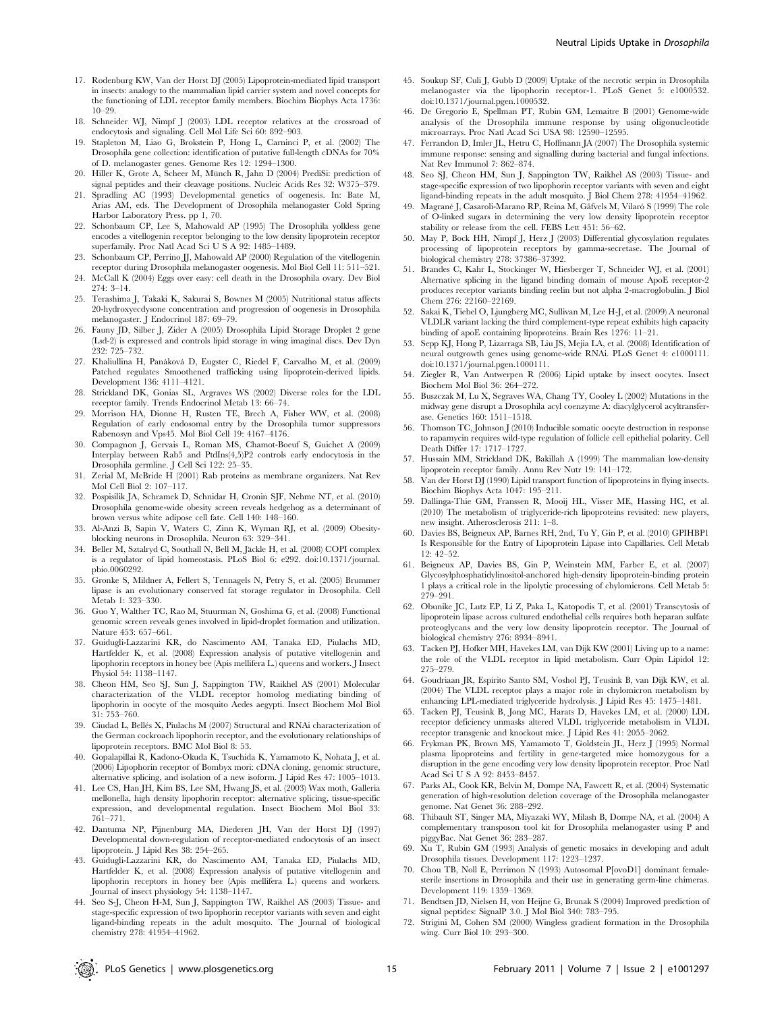- 17. Rodenburg KW, Van der Horst DJ (2005) Lipoprotein-mediated lipid transport in insects: analogy to the mammalian lipid carrier system and novel concepts for the functioning of LDL receptor family members. Biochim Biophys Acta 1736: 10–29.
- 18. Schneider WJ, Nimpf J (2003) LDL receptor relatives at the crossroad of endocytosis and signaling. Cell Mol Life Sci 60: 892–903.
- 19. Stapleton M, Liao G, Brokstein P, Hong L, Carninci P, et al. (2002) The Drosophila gene collection: identification of putative full-length cDNAs for 70% of D. melanogaster genes. Genome Res 12: 1294–1300.
- 20. Hiller K, Grote A, Scheer M, Münch R, Jahn D (2004) PrediSi: prediction of signal peptides and their cleavage positions. Nucleic Acids Res 32: W375–379.
- 21. Spradling AC (1993) Developmental genetics of oogenesis. In: Bate M, Arias AM, eds. The Development of Drosophila melanogaster Cold Spring Harbor Laboratory Press. pp 1, 70.
- 22. Schonbaum CP, Lee S, Mahowald AP (1995) The Drosophila yolkless gene encodes a vitellogenin receptor belonging to the low density lipoprotein receptor superfamily. Proc Natl Acad Sci U S A 92: 1485–1489.
- 23. Schonbaum CP, Perrino JJ, Mahowald AP (2000) Regulation of the vitellogenin receptor during Drosophila melanogaster oogenesis. Mol Biol Cell 11: 511–521.
- 24. McCall K (2004) Eggs over easy: cell death in the Drosophila ovary. Dev Biol 274: 3–14.
- 25. Terashima J, Takaki K, Sakurai S, Bownes M (2005) Nutritional status affects 20-hydroxyecdysone concentration and progression of oogenesis in Drosophila melanogaster. J Endocrinol 187: 69–79.
- 26. Fauny JD, Silber J, Zider A (2005) Drosophila Lipid Storage Droplet 2 gene (Lsd-2) is expressed and controls lipid storage in wing imaginal discs. Dev Dyn 232: 725–732.
- 27. Khaliullina H, Panáková D, Eugster C, Riedel F, Carvalho M, et al. (2009) Patched regulates Smoothened trafficking using lipoprotein-derived lipids. Development 136: 4111–4121.
- 28. Strickland DK, Gonias SL, Argraves WS (2002) Diverse roles for the LDL receptor family. Trends Endocrinol Metab 13: 66–74.
- 29. Morrison HA, Dionne H, Rusten TE, Brech A, Fisher WW, et al. (2008) Regulation of early endosomal entry by the Drosophila tumor suppressors Rabenosyn and Vps45. Mol Biol Cell 19: 4167–4176.
- 30. Compagnon J, Gervais L, Roman MS, Chamot-Boeuf S, Guichet A (2009) Interplay between Rab5 and PtdIns(4,5)P2 controls early endocytosis in the Drosophila germline. J Cell Sci 122: 25–35.
- 31. Zerial M, McBride H (2001) Rab proteins as membrane organizers. Nat Rev Mol Cell Biol 2: 107–117.
- 32. Pospisilik JA, Schramek D, Schnidar H, Cronin SJF, Nehme NT, et al. (2010) Drosophila genome-wide obesity screen reveals hedgehog as a determinant of brown versus white adipose cell fate. Cell 140: 148–160.
- 33. Al-Anzi B, Sapin V, Waters C, Zinn K, Wyman RJ, et al. (2009) Obesityblocking neurons in Drosophila. Neuron 63: 329–341.
- 34. Beller M, Sztalryd C, Southall N, Bell M, Jäckle H, et al. (2008) COPI complex is a regulator of lipid homeostasis. PLoS Biol 6: e292. doi:10.1371/journal. pbio.0060292.
- 35. Gronke S, Mildner A, Fellert S, Tennagels N, Petry S, et al. (2005) Brummer lipase is an evolutionary conserved fat storage regulator in Drosophila. Cell Metab 1: 323–330.
- 36. Guo Y, Walther TC, Rao M, Stuurman N, Goshima G, et al. (2008) Functional genomic screen reveals genes involved in lipid-droplet formation and utilization. Nature 453: 657–661.
- 37. Guidugli-Lazzarini KR, do Nascimento AM, Tanaka ED, Piulachs MD, Hartfelder K, et al. (2008) Expression analysis of putative vitellogenin and lipophorin receptors in honey bee (Apis mellifera L.) queens and workers. J Insect Physiol 54: 1138–1147.
- 38. Cheon HM, Seo SJ, Sun J, Sappington TW, Raikhel AS (2001) Molecular characterization of the VLDL receptor homolog mediating binding of lipophorin in oocyte of the mosquito Aedes aegypti. Insect Biochem Mol Biol 31: 753–760.
- 39. Ciudad L, Bellés X, Piulachs M (2007) Structural and RNAi characterization of the German cockroach lipophorin receptor, and the evolutionary relationships of lipoprotein receptors. BMC Mol Biol 8: 53.
- 40. Gopalapillai R, Kadono-Okuda K, Tsuchida K, Yamamoto K, Nohata J, et al. (2006) Lipophorin receptor of Bombyx mori: cDNA cloning, genomic structure, alternative splicing, and isolation of a new isoform. J Lipid Res 47: 1005–1013.
- 41. Lee CS, Han JH, Kim BS, Lee SM, Hwang JS, et al. (2003) Wax moth, Galleria mellonella, high density lipophorin receptor: alternative splicing, tissue-specific expression, and developmental regulation. Insect Biochem Mol Biol 33: 761–771.
- 42. Dantuma NP, Pijnenburg MA, Diederen JH, Van der Horst DJ (1997) Developmental down-regulation of receptor-mediated endocytosis of an insect lipoprotein. J Lipid Res 38: 254–265.
- 43. Guidugli-Lazzarini KR, do Nascimento AM, Tanaka ED, Piulachs MD, Hartfelder K, et al. (2008) Expression analysis of putative vitellogenin and lipophorin receptors in honey bee (Apis mellifera L.) queens and workers. Journal of insect physiology 54: 1138–1147.
- 44. Seo S-J, Cheon H-M, Sun J, Sappington TW, Raikhel AS (2003) Tissue- and stage-specific expression of two lipophorin receptor variants with seven and eight ligand-binding repeats in the adult mosquito. The Journal of biological chemistry 278: 41954–41962.
- 45. Soukup SF, Culi J, Gubb D (2009) Uptake of the necrotic serpin in Drosophila melanogaster via the lipophorin receptor-1. PLoS Genet 5: e1000532. doi:10.1371/journal.pgen.1000532.
- 46. De Gregorio E, Spellman PT, Rubin GM, Lemaitre B (2001) Genome-wide analysis of the Drosophila immune response by using oligonucleotide microarrays. Proc Natl Acad Sci USA 98: 12590–12595.
- 47. Ferrandon D, Imler JL, Hetru C, Hoffmann JA (2007) The Drosophila systemic immune response: sensing and signalling during bacterial and fungal infections. Nat Rev Immunol 7: 862–874.
- 48. Seo SJ, Cheon HM, Sun J, Sappington TW, Raikhel AS (2003) Tissue- and stage-specific expression of two lipophorin receptor variants with seven and eight ligand-binding repeats in the adult mosquito. J Biol Chem 278: 41954–41962.
- 49. Magrané J, Casaroli-Marano RP, Reina M, Gåfvels M, Vilaró S (1999) The role of O-linked sugars in determining the very low density lipoprotein receptor stability or release from the cell. FEBS Lett 451: 56–62.
- 50. May P, Bock HH, Nimpf J, Herz J (2003) Differential glycosylation regulates processing of lipoprotein receptors by gamma-secretase. The Journal of biological chemistry 278: 37386–37392.
- 51. Brandes C, Kahr L, Stockinger W, Hiesberger T, Schneider WJ, et al. (2001) Alternative splicing in the ligand binding domain of mouse ApoE receptor-2 produces receptor variants binding reelin but not alpha 2-macroglobulin. J Biol Chem 276: 22160–22169.
- 52. Sakai K, Tiebel O, Ljungberg MC, Sullivan M, Lee H-J, et al. (2009) A neuronal VLDLR variant lacking the third complement-type repeat exhibits high capacity binding of apoE containing lipoproteins. Brain Res 1276: 11–21.
- 53. Sepp KJ, Hong P, Lizarraga SB, Liu JS, Mejia LA, et al. (2008) Identification of neural outgrowth genes using genome-wide RNAi. PLoS Genet 4: e1000111. doi:10.1371/journal.pgen.1000111.
- 54. Ziegler R, Van Antwerpen R (2006) Lipid uptake by insect oocytes. Insect Biochem Mol Biol 36: 264–272.
- 55. Buszczak M, Lu X, Segraves WA, Chang TY, Cooley L (2002) Mutations in the midway gene disrupt a Drosophila acyl coenzyme A: diacylglycerol acyltransferase. Genetics 160: 1511–1518.
- 56. Thomson TC, Johnson J (2010) Inducible somatic oocyte destruction in response to rapamycin requires wild-type regulation of follicle cell epithelial polarity. Cell Death Differ 17: 1717–1727.
- 57. Hussain MM, Strickland DK, Bakillah A (1999) The mammalian low-density lipoprotein receptor family. Annu Rev Nutr 19: 141–172.
- 58. Van der Horst DJ (1990) Lipid transport function of lipoproteins in flying insects. Biochim Biophys Acta 1047: 195–211.
- 59. Dallinga-Thie GM, Franssen R, Mooij HL, Visser ME, Hassing HC, et al. (2010) The metabolism of triglyceride-rich lipoproteins revisited: new players, new insight. Atherosclerosis 211: 1–8.
- 60. Davies BS, Beigneux AP, Barnes RH, 2nd, Tu Y, Gin P, et al. (2010) GPIHBP1 Is Responsible for the Entry of Lipoprotein Lipase into Capillaries. Cell Metab 12: 42–52.
- 61. Beigneux AP, Davies BS, Gin P, Weinstein MM, Farber E, et al. (2007) Glycosylphosphatidylinositol-anchored high-density lipoprotein-binding protein 1 plays a critical role in the lipolytic processing of chylomicrons. Cell Metab 5: 279–291.
- 62. Obunike JC, Lutz EP, Li Z, Paka L, Katopodis T, et al. (2001) Transcytosis of lipoprotein lipase across cultured endothelial cells requires both heparan sulfate proteoglycans and the very low density lipoprotein receptor. The Journal of biological chemistry 276: 8934–8941.
- 63. Tacken PJ, Hofker MH, Havekes LM, van Dijk KW (2001) Living up to a name: the role of the VLDL receptor in lipid metabolism. Curr Opin Lipidol 12: 275–279.
- 64. Goudriaan JR, Espirito Santo SM, Voshol PJ, Teusink B, van Dijk KW, et al. (2004) The VLDL receptor plays a major role in chylomicron metabolism by enhancing LPL-mediated triglyceride hydrolysis. J Lipid Res 45: 1475–1481.
- 65. Tacken PJ, Teusink B, Jong MC, Harats D, Havekes LM, et al. (2000) LDL receptor deficiency unmasks altered VLDL triglyceride metabolism in VLDL receptor transgenic and knockout mice. J Lipid Res 41: 2055–2062.
- 66. Frykman PK, Brown MS, Yamamoto T, Goldstein JL, Herz J (1995) Normal plasma lipoproteins and fertility in gene-targeted mice homozygous for a disruption in the gene encoding very low density lipoprotein receptor. Proc Natl Acad Sci U S A 92: 8453–8457.
- 67. Parks AL, Cook KR, Belvin M, Dompe NA, Fawcett R, et al. (2004) Systematic generation of high-resolution deletion coverage of the Drosophila melanogaster genome. Nat Genet 36: 288–292.
- 68. Thibault ST, Singer MA, Miyazaki WY, Milash B, Dompe NA, et al. (2004) A complementary transposon tool kit for Drosophila melanogaster using P and piggyBac. Nat Genet 36: 283–287.
- 69. Xu T, Rubin GM (1993) Analysis of genetic mosaics in developing and adult Drosophila tissues. Development 117: 1223–1237.
- 70. Chou TB, Noll E, Perrimon N (1993) Autosomal P[ovoD1] dominant femalesterile insertions in Drosophila and their use in generating germ-line chimeras. Development 119: 1359–1369.
- 71. Bendtsen JD, Nielsen H, von Heijne G, Brunak S (2004) Improved prediction of signal peptides: SignalP 3.0. J Mol Biol 340: 783–795.
- 72. Strigini M, Cohen SM (2000) Wingless gradient formation in the Drosophila wing. Curr Biol 10: 293–300.